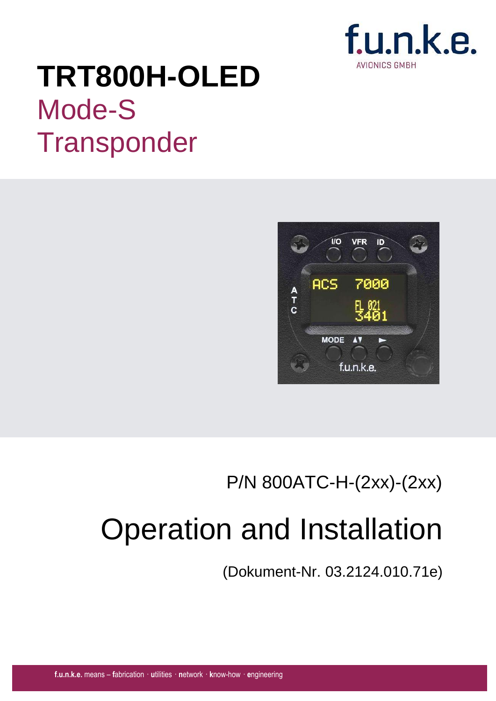

# **TRT800H-OLED** Mode-S **Transponder**



# P/N 800ATC-H-(2xx)-(2xx)

# Operation and Installation

(Dokument-Nr. 03.2124.010.71e)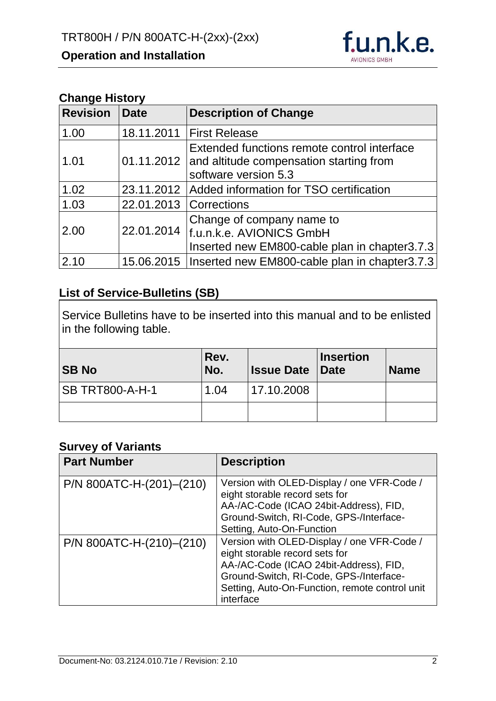

#### **Change History**

| <b>Revision</b> | <b>Date</b> | <b>Description of Change</b>                                                                                              |
|-----------------|-------------|---------------------------------------------------------------------------------------------------------------------------|
| 1.00            |             | 18.11.2011   First Release                                                                                                |
| 1.01            |             | Extended functions remote control interface<br>01.11.2012 and altitude compensation starting from<br>software version 5.3 |
| 1.02            |             | 23.11.2012   Added information for TSO certification                                                                      |
| 1.03            | 22.01.2013  | <i><b>Corrections</b></i>                                                                                                 |
| 2.00            | 22.01.2014  | Change of company name to<br>f.u.n.k.e. AVIONICS GmbH<br>Inserted new EM800-cable plan in chapter3.7.3                    |
| 2.10            |             | 15.06.2015   Inserted new EM800-cable plan in chapter 3.7.3                                                               |

#### **List of Service-Bulletins (SB)**

Service Bulletins have to be inserted into this manual and to be enlisted in the following table.

| <b>SB No</b>           | Rev.<br>No. | <b>Issue Date   Date</b> | <b>Insertion</b> | <b>Name</b> |
|------------------------|-------------|--------------------------|------------------|-------------|
| <b>SB TRT800-A-H-1</b> | 1.04        | 17.10.2008               |                  |             |
|                        |             |                          |                  |             |

#### **Survey of Variants**

| <b>Part Number</b>       | <b>Description</b>                                                                                                                                                                                                               |
|--------------------------|----------------------------------------------------------------------------------------------------------------------------------------------------------------------------------------------------------------------------------|
| P/N 800ATC-H-(201)-(210) | Version with OLED-Display / one VFR-Code /<br>eight storable record sets for<br>AA-/AC-Code (ICAO 24bit-Address), FID,<br>Ground-Switch, RI-Code, GPS-/Interface-<br>Setting, Auto-On-Function                                   |
| P/N 800ATC-H-(210)-(210) | Version with OLED-Display / one VFR-Code /<br>eight storable record sets for<br>AA-/AC-Code (ICAO 24bit-Address), FID,<br>Ground-Switch, RI-Code, GPS-/Interface-<br>Setting, Auto-On-Function, remote control unit<br>interface |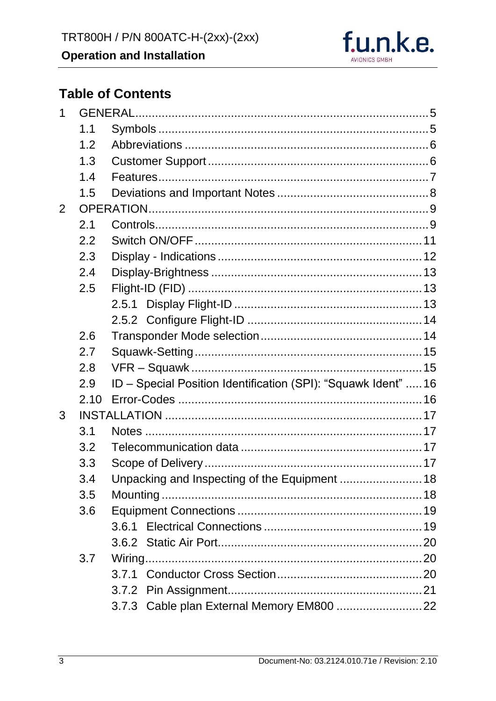

# **Table of Contents**

| 1 |      |                                                                |  |
|---|------|----------------------------------------------------------------|--|
|   | 1.1  |                                                                |  |
|   | 1.2  |                                                                |  |
|   | 1.3  |                                                                |  |
|   | 1.4  |                                                                |  |
|   | 1.5  |                                                                |  |
| 2 |      |                                                                |  |
|   | 2.1  |                                                                |  |
|   | 2.2  |                                                                |  |
|   | 2.3  |                                                                |  |
|   | 2.4  |                                                                |  |
|   | 2.5  |                                                                |  |
|   |      |                                                                |  |
|   |      |                                                                |  |
|   | 2.6  |                                                                |  |
|   | 2.7  |                                                                |  |
|   | 2.8  |                                                                |  |
|   | 2.9  | ID - Special Position Identification (SPI): "Squawk Ident"  16 |  |
|   | 2.10 |                                                                |  |
| 3 |      |                                                                |  |
|   | 3.1  |                                                                |  |
|   | 3.2  |                                                                |  |
|   | 3.3  |                                                                |  |
|   | 3.4  | Unpacking and Inspecting of the Equipment  18                  |  |
|   | 3.5  | Mounting                                                       |  |
|   | 3.6  |                                                                |  |
|   |      | 3.6.1                                                          |  |
|   |      |                                                                |  |
|   | 3.7  |                                                                |  |
|   |      |                                                                |  |
|   |      |                                                                |  |
|   |      |                                                                |  |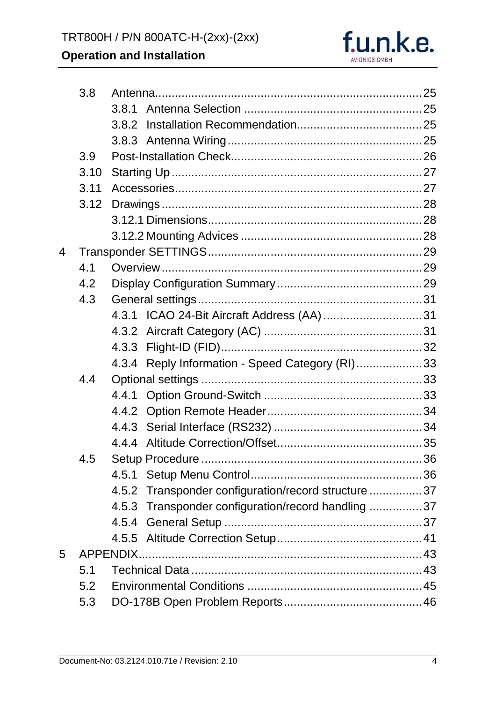

|     | 3.8  |                                                        |  |  |
|-----|------|--------------------------------------------------------|--|--|
|     |      |                                                        |  |  |
|     |      |                                                        |  |  |
|     |      |                                                        |  |  |
|     | 3.9  |                                                        |  |  |
|     | 3.10 |                                                        |  |  |
|     | 3.11 |                                                        |  |  |
|     | 3.12 |                                                        |  |  |
|     |      |                                                        |  |  |
|     |      |                                                        |  |  |
| 4   |      |                                                        |  |  |
|     | 4.1  |                                                        |  |  |
|     | 4.2  |                                                        |  |  |
|     | 4.3  |                                                        |  |  |
|     |      |                                                        |  |  |
|     |      |                                                        |  |  |
|     |      |                                                        |  |  |
|     |      | 4.3.4 Reply Information - Speed Category (RI)33        |  |  |
|     | 4.4  |                                                        |  |  |
|     |      |                                                        |  |  |
|     |      |                                                        |  |  |
|     |      |                                                        |  |  |
|     |      |                                                        |  |  |
|     | 4.5  |                                                        |  |  |
|     |      |                                                        |  |  |
|     |      | Transponder configuration/record structure 37<br>4.5.2 |  |  |
|     |      | 4.5.3 Transponder configuration/record handling 37     |  |  |
|     |      |                                                        |  |  |
|     |      |                                                        |  |  |
| 5   |      | APPENDIX.                                              |  |  |
|     | 5.1  |                                                        |  |  |
|     | 5.2  |                                                        |  |  |
| 5.3 |      |                                                        |  |  |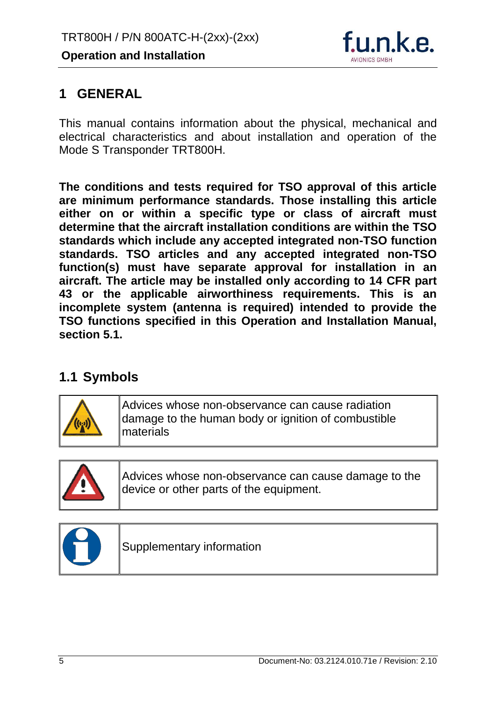

# <span id="page-5-0"></span>**1 GENERAL**

This manual contains information about the physical, mechanical and electrical characteristics and about installation and operation of the Mode S Transponder TRT800H.

**The conditions and tests required for TSO approval of this article are minimum performance standards. Those installing this article either on or within a specific type or class of aircraft must determine that the aircraft installation conditions are within the TSO standards which include any accepted integrated non-TSO function standards. TSO articles and any accepted integrated non-TSO function(s) must have separate approval for installation in an aircraft. The article may be installed only according to 14 CFR part 43 or the applicable airworthiness requirements. This is an incomplete system (antenna is required) intended to provide the TSO functions specified in this Operation and Installation Manual, section 5.1.**

# <span id="page-5-1"></span>**1.1 Symbols**



Advices whose non-observance can cause radiation damage to the human body or ignition of combustible materials



Advices whose non-observance can cause damage to the device or other parts of the equipment.



Supplementary information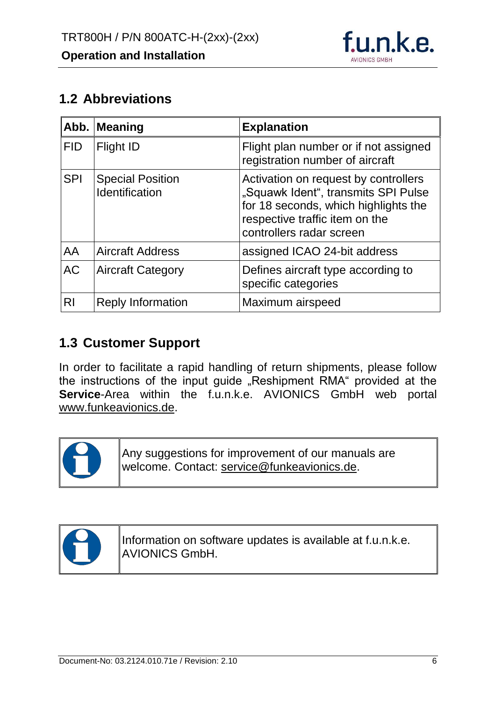

# <span id="page-6-0"></span>**1.2 Abbreviations**

|            | Abb. Meaning                              | <b>Explanation</b>                                                                                                                                                                |
|------------|-------------------------------------------|-----------------------------------------------------------------------------------------------------------------------------------------------------------------------------------|
| <b>FID</b> | Flight ID                                 | Flight plan number or if not assigned<br>registration number of aircraft                                                                                                          |
| <b>SPI</b> | <b>Special Position</b><br>Identification | Activation on request by controllers<br>"Squawk Ident", transmits SPI Pulse<br>for 18 seconds, which highlights the<br>respective traffic item on the<br>controllers radar screen |
| AA         | <b>Aircraft Address</b>                   | assigned ICAO 24-bit address                                                                                                                                                      |
| <b>AC</b>  | <b>Aircraft Category</b>                  | Defines aircraft type according to<br>specific categories                                                                                                                         |
| <b>RI</b>  | <b>Reply Information</b>                  | Maximum airspeed                                                                                                                                                                  |

# <span id="page-6-1"></span>**1.3 Customer Support**

In order to facilitate a rapid handling of return shipments, please follow the instructions of the input guide "Reshipment RMA" provided at the **Service**-Area within the f.u.n.k.e. AVIONICS GmbH web portal www.funkeavionics.de.



Any suggestions for improvement of our manuals are welcome. Contact: service@funkeavionics.de.



Information on software updates is available at f.u.n.k.e. AVIONICS GmbH.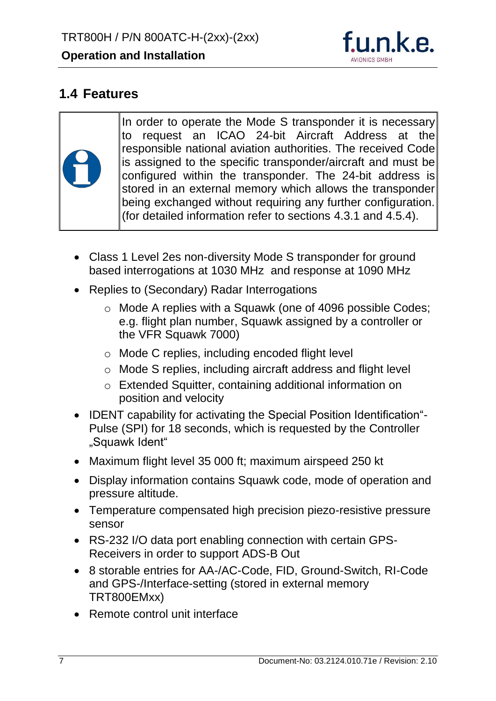

# <span id="page-7-0"></span>**1.4 Features**

In order to operate the Mode S transponder it is necessary to request an ICAO 24-bit Aircraft Address at the responsible national aviation authorities. The received Code is assigned to the specific transponder/aircraft and must be configured within the transponder. The 24-bit address is stored in an external memory which allows the transponder being exchanged without requiring any further configuration. (for detailed information refer to sections [4.3.1](#page-31-1) and [4.5.4\)](#page-37-2).

- Class 1 Level 2es non-diversity Mode S transponder for ground based interrogations at 1030 MHz and response at 1090 MHz
- Replies to (Secondary) Radar Interrogations
	- o Mode A replies with a Squawk (one of 4096 possible Codes; e.g. flight plan number, Squawk assigned by a controller or the VFR Squawk 7000)
	- o Mode C replies, including encoded flight level
	- o Mode S replies, including aircraft address and flight level
	- o Extended Squitter, containing additional information on position and velocity
- IDENT capability for activating the Special Position Identification"-Pulse (SPI) for 18 seconds, which is requested by the Controller "Squawk Ident"
- Maximum flight level 35 000 ft; maximum airspeed 250 kt
- Display information contains Squawk code, mode of operation and pressure altitude.
- Temperature compensated high precision piezo-resistive pressure sensor
- RS-232 I/O data port enabling connection with certain GPS-Receivers in order to support ADS-B Out
- 8 storable entries for AA-/AC-Code, FID, Ground-Switch, RI-Code and GPS-/Interface-setting (stored in external memory TRT800EMxx)
- Remote control unit interface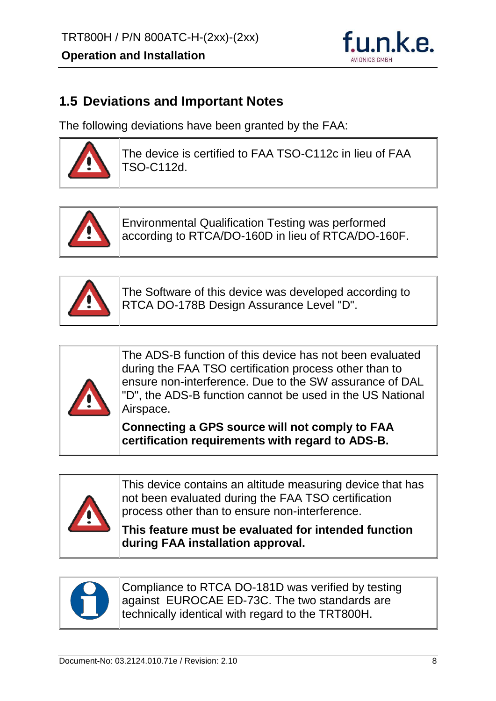

# <span id="page-8-0"></span>**1.5 Deviations and Important Notes**

The following deviations have been granted by the FAA:



The device is certified to FAA TSO-C112c in lieu of FAA TSO-C112d.



Environmental Qualification Testing was performed according to RTCA/DO-160D in lieu of RTCA/DO-160F.



The Software of this device was developed according to RTCA DO-178B Design Assurance Level "D".



The ADS-B function of this device has not been evaluated during the FAA TSO certification process other than to ensure non-interference. Due to the SW assurance of DAL "D", the ADS-B function cannot be used in the US National Airspace.

**Connecting a GPS source will not comply to FAA certification requirements with regard to ADS-B.**



This device contains an altitude measuring device that has not been evaluated during the FAA TSO certification process other than to ensure non-interference.

**This feature must be evaluated for intended function during FAA installation approval.**



Compliance to RTCA DO-181D was verified by testing against EUROCAE ED-73C. The two standards are technically identical with regard to the TRT800H.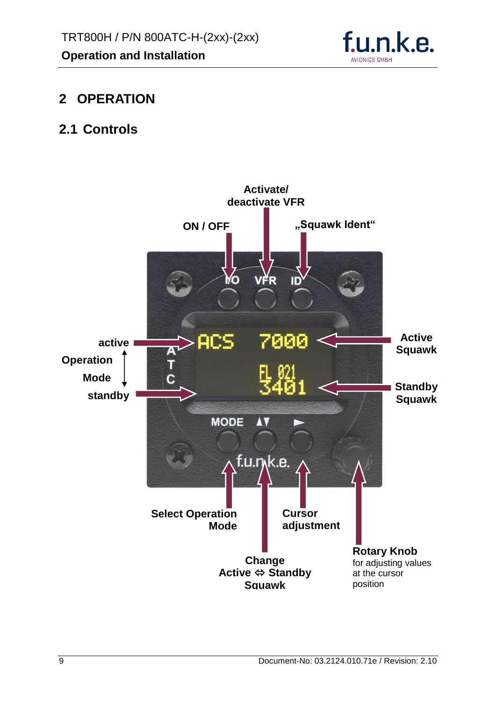

# <span id="page-9-0"></span>**2 OPERATION**

# <span id="page-9-1"></span>**2.1 Controls**

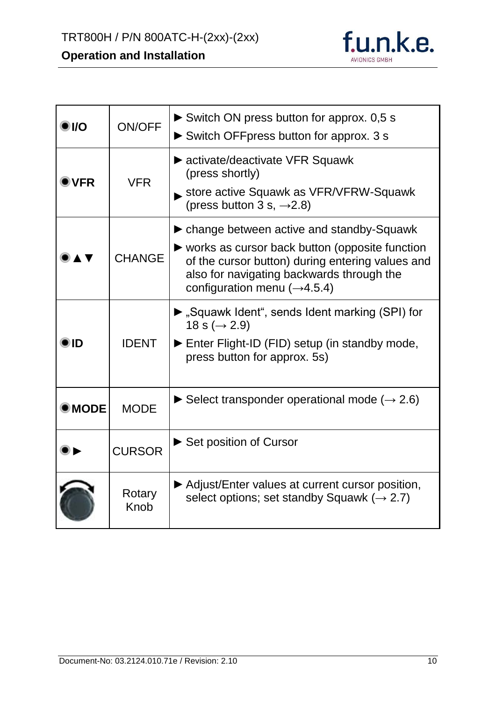

| O 1/0          | <b>ON/OFF</b>  | Switch ON press button for approx. 0,5 s<br>Switch OFFpress button for approx. 3 s                                                                                                                                                                                         |
|----------------|----------------|----------------------------------------------------------------------------------------------------------------------------------------------------------------------------------------------------------------------------------------------------------------------------|
| DVFR           | <b>VFR</b>     | ► activate/deactivate VFR Squawk<br>(press shortly)<br>store active Squawk as VFR/VFRW-Squawk<br>(press button 3 s, $\rightarrow$ 2.8)                                                                                                                                     |
|                | <b>CHANGE</b>  | lacktriangleright change between active and standby-Squawk<br>$\triangleright$ works as cursor back button (opposite function<br>of the cursor button) during entering values and<br>also for navigating backwards through the<br>configuration menu $(\rightarrow 4.5.4)$ |
| ID             | <b>IDENT</b>   | ► "Squawk Ident", sends Ident marking (SPI) for<br>18 s ( $\rightarrow$ 2.9)<br>Enter Flight-ID (FID) setup (in standby mode,<br>press button for approx. 5s)                                                                                                              |
| $\bullet$ MODE | <b>MODE</b>    | Select transponder operational mode ( $\rightarrow$ 2.6)                                                                                                                                                                                                                   |
|                | <b>CURSOR</b>  | Set position of Cursor                                                                                                                                                                                                                                                     |
|                | Rotary<br>Knob | ▶ Adjust/Enter values at current cursor position,<br>select options; set standby Squawk ( $\rightarrow$ 2.7)                                                                                                                                                               |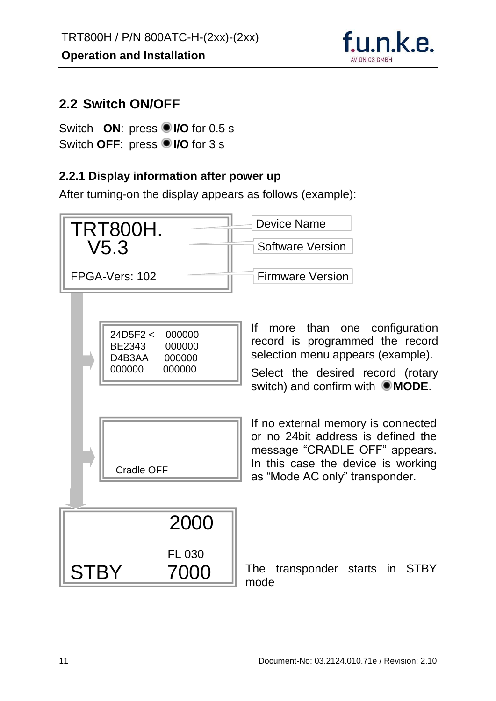

## <span id="page-11-0"></span>**2.2 Switch ON/OFF**

Switch **ON**: press **I/O** for 0.5 s Switch **OFF**: press **I/O** for 3 s

#### **2.2.1 Display information after power up**

After turning-on the display appears as follows (example):

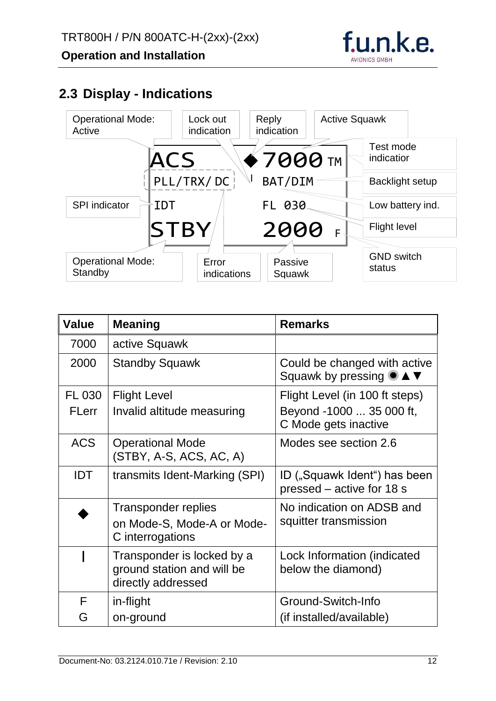

# <span id="page-12-0"></span>**2.3 Display - Indications**



| <b>Value</b>  | <b>Meaning</b>                                                                 | <b>Remarks</b>                                                                                 |
|---------------|--------------------------------------------------------------------------------|------------------------------------------------------------------------------------------------|
| 7000          | active Squawk                                                                  |                                                                                                |
| 2000          | <b>Standby Squawk</b>                                                          | Could be changed with active<br>Squawk by pressing $\bullet \blacktriangle \blacktriangledown$ |
| <b>FL 030</b> | <b>Flight Level</b>                                                            | Flight Level (in 100 ft steps)                                                                 |
| <b>FLerr</b>  | Invalid altitude measuring                                                     | Beyond -1000  35 000 ft,<br>C Mode gets inactive                                               |
| <b>ACS</b>    | <b>Operational Mode</b><br>(STBY, A-S, ACS, AC, A)                             | Modes see section 2.6                                                                          |
| <b>IDT</b>    | transmits Ident-Marking (SPI)                                                  | ID ("Squawk Ident") has been<br>pressed - active for 18 s                                      |
|               | <b>Transponder replies</b><br>on Mode-S, Mode-A or Mode-<br>C interrogations   | No indication on ADSB and<br>squitter transmission                                             |
|               | Transponder is locked by a<br>ground station and will be<br>directly addressed | Lock Information (indicated<br>below the diamond)                                              |
| F             | in-flight                                                                      | Ground-Switch-Info                                                                             |
| G             | on-ground                                                                      | (if installed/available)                                                                       |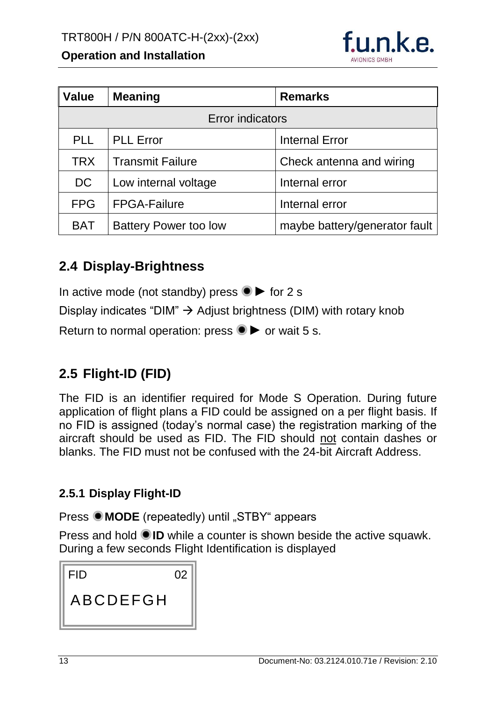

| <b>Value</b> | <b>Meaning</b>               | <b>Remarks</b>                |  |  |
|--------------|------------------------------|-------------------------------|--|--|
|              | <b>Error indicators</b>      |                               |  |  |
| <b>PLL</b>   | <b>PLL Error</b>             | <b>Internal Error</b>         |  |  |
| <b>TRX</b>   | <b>Transmit Failure</b>      | Check antenna and wiring      |  |  |
| <b>DC</b>    | Low internal voltage         | Internal error                |  |  |
| <b>FPG</b>   | <b>FPGA-Failure</b>          | Internal error                |  |  |
| <b>BAT</b>   | <b>Battery Power too low</b> | maybe battery/generator fault |  |  |

# <span id="page-13-0"></span>**2.4 Display-Brightness**

In active mode (not standby) press  $\bullet \triangleright$  for 2 s

Display indicates "DIM"  $\rightarrow$  Adjust brightness (DIM) with rotary knob

Return to normal operation: press  $\bullet \triangleright$  or wait 5 s.

# <span id="page-13-1"></span>**2.5 Flight-ID (FID)**

The FID is an identifier required for Mode S Operation. During future application of flight plans a FID could be assigned on a per flight basis. If no FID is assigned (today's normal case) the registration marking of the aircraft should be used as FID. The FID should not contain dashes or blanks. The FID must not be confused with the 24-bit Aircraft Address.

#### <span id="page-13-2"></span>**2.5.1 Display Flight-ID**

Press  $\bullet$  **MODE** (repeatedly) until "STBY" appears

Press and hold  $\bullet$  **ID** while a counter is shown beside the active squawk. During a few seconds Flight Identification is displayed

| <b>FID</b> | 02 |
|------------|----|
| ABCDEFGH   |    |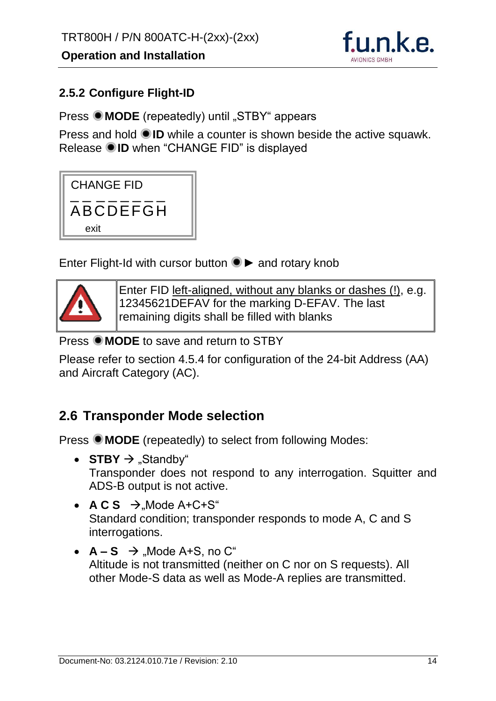

#### <span id="page-14-0"></span>**2.5.2 Configure Flight-ID**

**Press**  $\bullet$  **MODE** (repeatedly) until "STBY" appears

Press and hold **ID** while a counter is shown beside the active squawk. Release **ID** when "CHANGE FID" is displayed

| <b>CHANGE FID</b> |
|-------------------|
| ABCDEFGH          |
| exit              |

Enter Flight-Id with cursor button **►** and rotary knob



Enter FID left-aligned, without any blanks or dashes (!), e.g. 12345621DEFAV for the marking D-EFAV. The last remaining digits shall be filled with blanks

**Press OMODE** to save and return to STBY

Please refer to section [4.5.4](#page-37-2) for configuration of the 24-bit Address (AA) and Aircraft Category (AC).

#### <span id="page-14-1"></span>**2.6 Transponder Mode selection**

Press  $\bullet$  **MODE** (repeatedly) to select from following Modes:

- **STBY**  $\rightarrow$  "Standby" Transponder does not respond to any interrogation. Squitter and ADS-B output is not active.
- $\overline{ACS}$   $\rightarrow$  Mode A+C+S" Standard condition; transponder responds to mode A, C and S interrogations.
- $A S \rightarrow$  Mode A+S, no C" Altitude is not transmitted (neither on C nor on S requests). All other Mode-S data as well as Mode-A replies are transmitted.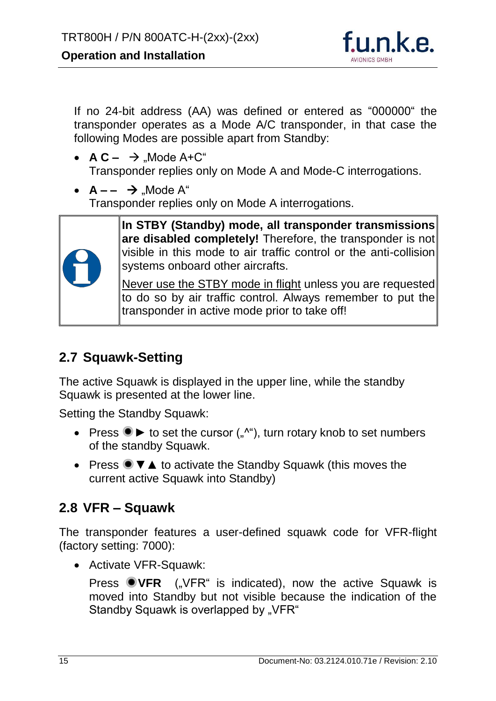

If no 24-bit address (AA) was defined or entered as "000000" the transponder operates as a Mode A/C transponder, in that case the following Modes are possible apart from Standby:

- $AC \rightarrow$  Mode A+C" Transponder replies only on Mode A and Mode-C interrogations.
- $A - \rightarrow$  Mode A" Transponder replies only on Mode A interrogations.



**In STBY (Standby) mode, all transponder transmissions are disabled completely!** Therefore, the transponder is not visible in this mode to air traffic control or the anti-collision systems onboard other aircrafts.

Never use the STBY mode in flight unless you are requested to do so by air traffic control. Always remember to put the transponder in active mode prior to take off!

# <span id="page-15-0"></span>**2.7 Squawk-Setting**

The active Squawk is displayed in the upper line, while the standby Squawk is presented at the lower line.

Setting the Standby Squawk:

- Press <sup>●</sup> ► to set the cursor (",""), turn rotary knob to set numbers of the standby Squawk.
- Press <sup>●</sup> ▼ ▲ to activate the Standby Squawk (this moves the current active Squawk into Standby)

# <span id="page-15-1"></span>**2.8 VFR – Squawk**

The transponder features a user-defined squawk code for VFR-flight (factory setting: 7000):

Activate VFR-Squawk:

Press **OVFR** ("VFR" is indicated), now the active Squawk is moved into Standby but not visible because the indication of the Standby Squawk is overlapped by "VFR"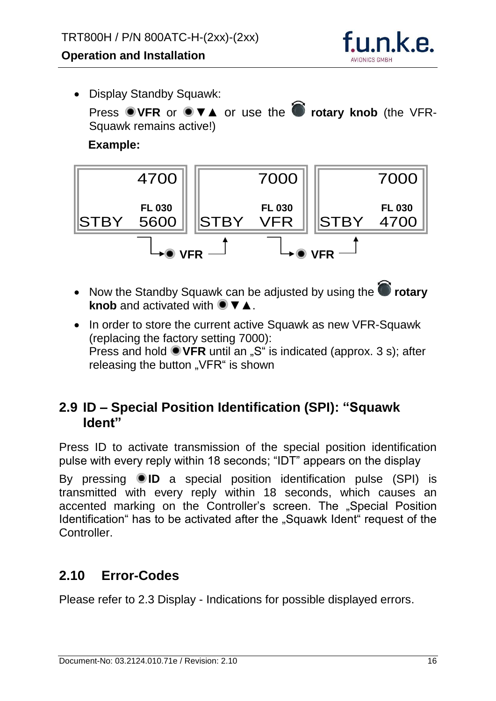

• Display Standby Squawk: Press ● VFR or ● ▼▲ or use the ● rotary knob (the VFR-Squawk remains active!) **Example:**



- Now the Standby Squawk can be adjusted by using the **C** rotary **knob** and activated with ● ▼▲.
- In order to store the current active Squawk as new VFR-Squawk (replacing the factory setting 7000): Press and hold **VFR** until an "S" is indicated (approx. 3 s); after releasing the button "VFR" is shown

# <span id="page-16-0"></span>**2.9 ID – Special Position Identification (SPI): "Squawk Ident"**

Press ID to activate transmission of the special position identification pulse with every reply within 18 seconds; "IDT" appears on the display

By pressing **ID** a special position identification pulse (SPI) is transmitted with every reply within 18 seconds, which causes an accented marking on the Controller's screen. The "Special Position Identification" has to be activated after the "Squawk Ident" request of the Controller.

# <span id="page-16-1"></span>**2.10 Error-Codes**

Please refer to [2.3](#page-12-0) Display - [Indications](#page-12-0) for possible displayed errors.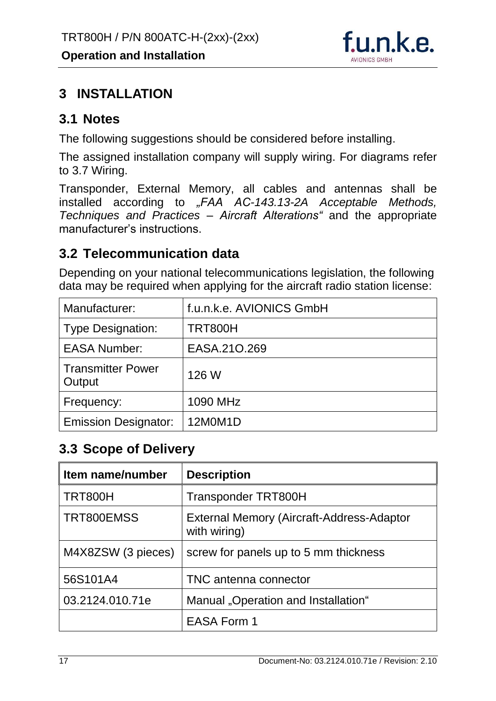

# <span id="page-17-0"></span>**3 INSTALLATION**

#### <span id="page-17-1"></span>**3.1 Notes**

The following suggestions should be considered before installing.

The assigned installation company will supply wiring. For diagrams refer to [3.7](#page-20-1) [Wiring.](#page-20-1)

Transponder, External Memory, all cables and antennas shall be installed according to *"FAA AC-143.13-2A Acceptable Methods, Techniques and Practices – Aircraft Alterations"* and the appropriate manufacturer's instructions.

# <span id="page-17-2"></span>**3.2 Telecommunication data**

Depending on your national telecommunications legislation, the following data may be required when applying for the aircraft radio station license:

| Manufacturer:                      | f.u.n.k.e. AVIONICS GmbH |
|------------------------------------|--------------------------|
| <b>Type Designation:</b>           | <b>TRT800H</b>           |
| <b>EASA Number:</b>                | EASA.210.269             |
| <b>Transmitter Power</b><br>Output | 126 W                    |
| Frequency:                         | 1090 MHz                 |
| <b>Emission Designator:</b>        | 12M0M1D                  |

# <span id="page-17-3"></span>**3.3 Scope of Delivery**

| Item name/number   | <b>Description</b>                                        |  |
|--------------------|-----------------------------------------------------------|--|
| <b>TRT800H</b>     | <b>Transponder TRT800H</b>                                |  |
| TRT800EMSS         | External Memory (Aircraft-Address-Adaptor<br>with wiring) |  |
| M4X8ZSW (3 pieces) | screw for panels up to 5 mm thickness                     |  |
| 56S101A4           | TNC antenna connector                                     |  |
| 03.2124.010.71e    | Manual "Operation and Installation"                       |  |
|                    | <b>EASA Form 1</b>                                        |  |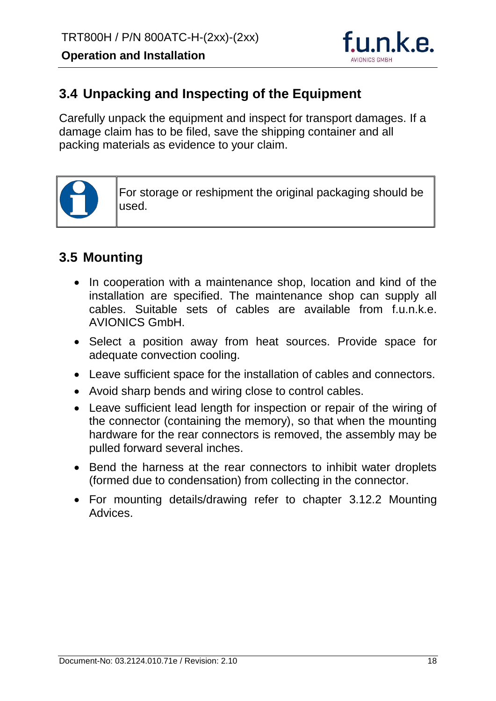

# <span id="page-18-0"></span>**3.4 Unpacking and Inspecting of the Equipment**

Carefully unpack the equipment and inspect for transport damages. If a damage claim has to be filed, save the shipping container and all packing materials as evidence to your claim.



For storage or reshipment the original packaging should be used.

# <span id="page-18-1"></span>**3.5 Mounting**

- In cooperation with a maintenance shop, location and kind of the installation are specified. The maintenance shop can supply all cables. Suitable sets of cables are available from f.u.n.k.e. AVIONICS GmbH.
- Select a position away from heat sources. Provide space for adequate convection cooling.
- Leave sufficient space for the installation of cables and connectors.
- Avoid sharp bends and wiring close to control cables.
- Leave sufficient lead length for inspection or repair of the wiring of the connector (containing the memory), so that when the mounting hardware for the rear connectors is removed, the assembly may be pulled forward several inches.
- Bend the harness at the rear connectors to inhibit water droplets (formed due to condensation) from collecting in the connector.
- For mounting details/drawing refer to chapter [3.12.2](#page-28-2) Mounting Advices.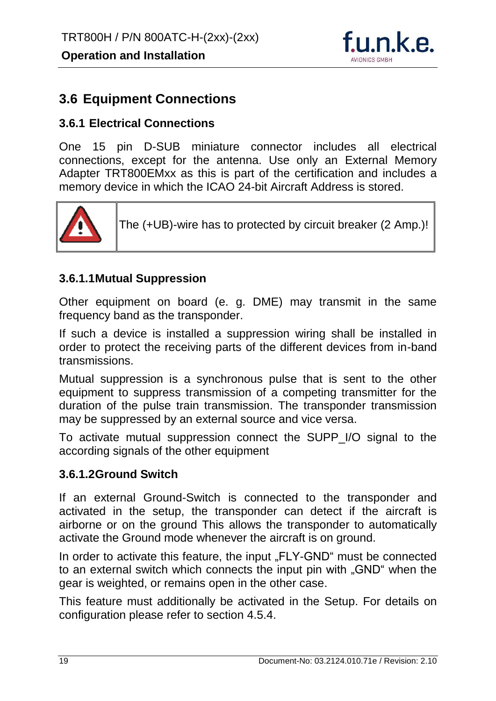

#### <span id="page-19-0"></span>**3.6 Equipment Connections**

#### <span id="page-19-1"></span>**3.6.1 Electrical Connections**

One 15 pin D-SUB miniature connector includes all electrical connections, except for the antenna. Use only an External Memory Adapter TRT800EMxx as this is part of the certification and includes a memory device in which the ICAO 24-bit Aircraft Address is stored.



The (+UB)-wire has to protected by circuit breaker (2 Amp.)!

#### **3.6.1.1Mutual Suppression**

Other equipment on board (e. g. DME) may transmit in the same frequency band as the transponder.

If such a device is installed a suppression wiring shall be installed in order to protect the receiving parts of the different devices from in-band transmissions.

Mutual suppression is a synchronous pulse that is sent to the other equipment to suppress transmission of a competing transmitter for the duration of the pulse train transmission. The transponder transmission may be suppressed by an external source and vice versa.

To activate mutual suppression connect the SUPP\_I/O signal to the according signals of the other equipment

#### **3.6.1.2Ground Switch**

If an external Ground-Switch is connected to the transponder and activated in the setup, the transponder can detect if the aircraft is airborne or on the ground This allows the transponder to automatically activate the Ground mode whenever the aircraft is on ground.

In order to activate this feature, the input "FLY-GND" must be connected to an external switch which connects the input pin with "GND" when the gear is weighted, or remains open in the other case.

This feature must additionally be activated in the Setup. For details on configuration please refer to section [4.5.4.](#page-37-2)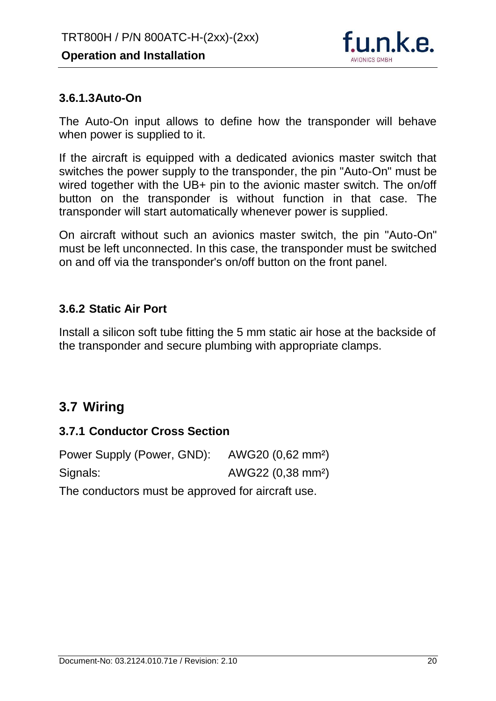

#### **3.6.1.3Auto-On**

The Auto-On input allows to define how the transponder will behave when power is supplied to it.

If the aircraft is equipped with a dedicated avionics master switch that switches the power supply to the transponder, the pin "Auto-On" must be wired together with the UB+ pin to the avionic master switch. The on/off button on the transponder is without function in that case. The transponder will start automatically whenever power is supplied.

On aircraft without such an avionics master switch, the pin "Auto-On" must be left unconnected. In this case, the transponder must be switched on and off via the transponder's on/off button on the front panel.

#### <span id="page-20-0"></span>**3.6.2 Static Air Port**

Install a silicon soft tube fitting the 5 mm static air hose at the backside of the transponder and secure plumbing with appropriate clamps.

# <span id="page-20-1"></span>**3.7 Wiring**

#### <span id="page-20-2"></span>**3.7.1 Conductor Cross Section**

| Power Supply (Power, GND): AWG20 (0,62 mm <sup>2</sup> ) |                               |  |  |
|----------------------------------------------------------|-------------------------------|--|--|
| Signals:                                                 | AWG22 (0,38 mm <sup>2</sup> ) |  |  |
|                                                          |                               |  |  |

The conductors must be approved for aircraft use.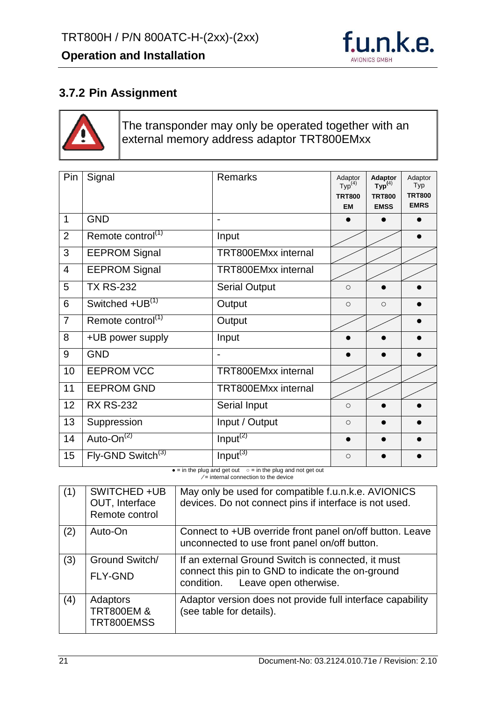

#### <span id="page-21-0"></span>**3.7.2 Pin Assignment**



The transponder may only be operated together with an external memory address adaptor TRT800EMxx

| Pin            | Signal                        | <b>Remarks</b>             | Adaptor<br>Typ <sup>(4)</sup><br><b>TRT800</b><br><b>EM</b> | Adaptor<br>$\mathsf{Typ}^{(4)}$<br><b>TRT800</b><br><b>EMSS</b> | Adaptor<br>Typ<br><b>TRT800</b><br><b>EMRS</b> |
|----------------|-------------------------------|----------------------------|-------------------------------------------------------------|-----------------------------------------------------------------|------------------------------------------------|
| $\overline{1}$ | <b>GND</b>                    | $\overline{a}$             |                                                             |                                                                 |                                                |
| $\overline{2}$ | Remote control <sup>(1)</sup> | Input                      |                                                             |                                                                 |                                                |
| 3              | <b>EEPROM Signal</b>          | <b>TRT800EMxx internal</b> |                                                             |                                                                 |                                                |
| $\overline{4}$ | <b>EEPROM Signal</b>          | <b>TRT800EMxx internal</b> |                                                             |                                                                 |                                                |
| 5              | <b>TX RS-232</b>              | <b>Serial Output</b>       | $\circ$                                                     |                                                                 |                                                |
| 6              | Switched +UB <sup>(1)</sup>   | Output                     | $\circ$                                                     | $\circ$                                                         |                                                |
| $\overline{7}$ | Remote control <sup>(1)</sup> | Output                     |                                                             |                                                                 |                                                |
| 8              | +UB power supply              | Input                      |                                                             |                                                                 |                                                |
| 9              | <b>GND</b>                    |                            |                                                             |                                                                 |                                                |
| 10             | <b>EEPROM VCC</b>             | <b>TRT800EMxx internal</b> |                                                             |                                                                 |                                                |
| 11             | <b>EEPROM GND</b>             | <b>TRT800EMxx internal</b> |                                                             |                                                                 |                                                |
| 12             | <b>RX RS-232</b>              | <b>Serial Input</b>        | $\circ$                                                     |                                                                 |                                                |
| 13             | Suppression                   | Input / Output             | $\circ$                                                     |                                                                 |                                                |
| 14             | Auto-On <sup>(2)</sup>        | Input <sup>(2)</sup>       |                                                             |                                                                 |                                                |
| 15             | Fly-GND Switch <sup>(3)</sup> | Input <sup>(3)</sup>       | $\circ$                                                     |                                                                 |                                                |

 $\bullet$  = in the plug and get out  $\circ$  = in the plug and not get out ∕ = internal connection to the device

| (1) | SWITCHED +UB<br>OUT, Interface<br>Remote control | May only be used for compatible f.u.n.k.e. AVIONICS<br>devices. Do not connect pins if interface is not used.                                  |
|-----|--------------------------------------------------|------------------------------------------------------------------------------------------------------------------------------------------------|
| (2) | Auto-On                                          | Connect to +UB override front panel on/off button. Leave<br>unconnected to use front panel on/off button.                                      |
| (3) | Ground Switch/<br><b>FLY-GND</b>                 | If an external Ground Switch is connected, it must<br>connect this pin to GND to indicate the on-ground<br>Leave open otherwise.<br>condition. |
| (4) | Adaptors<br><b>TRT800EM &amp;</b><br>TRT800EMSS  | Adaptor version does not provide full interface capability<br>(see table for details).                                                         |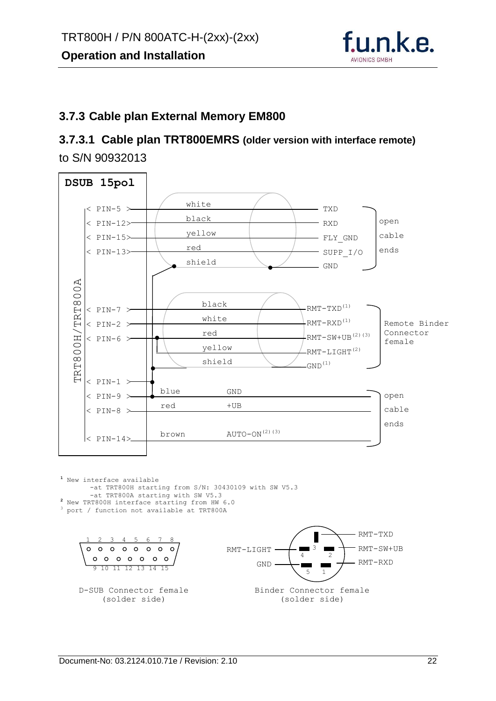

#### <span id="page-22-0"></span>**3.7.3 Cable plan External Memory EM800**

#### **3.7.3.1 Cable plan TRT800EMRS (older version with interface remote)** to S/N 90932013



**<sup>1</sup>** New interface available -at TRT800H starting from S/N: 30430109 with SW V5.3 -at TRT800A starting with SW V5.3

- **<sup>2</sup>** New TRT800H interface starting from HW 6.0
- <sup>3</sup> port / function not available at TRT800A

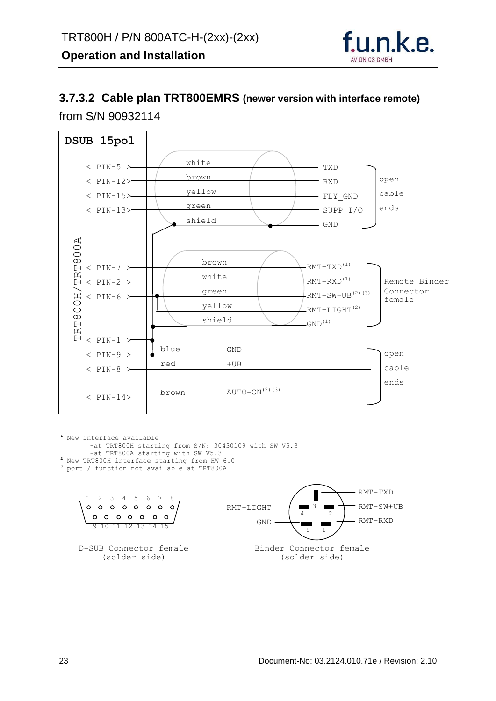

# **3.7.3.2 Cable plan TRT800EMRS (newer version with interface remote)**



**<sup>1</sup>** New interface available -at TRT800H starting from S/N: 30430109 with SW V5.3 -at TRT800A starting with SW V5.3 **<sup>2</sup>** New TRT800H interface starting from HW 6.0 <sup>3</sup> port / function not available at TRT800A

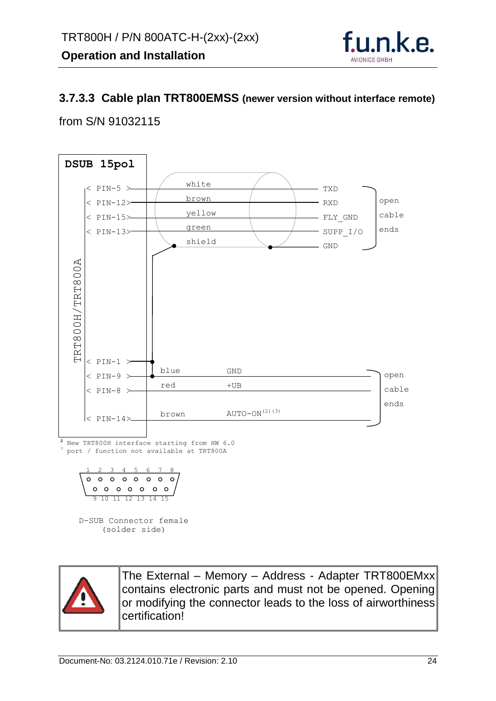

#### **3.7.3.3 Cable plan TRT800EMSS (newer version without interface remote)**

#### from S/N 91032115



(solder side)



The External – Memory – Address - Adapter TRT800EMxx contains electronic parts and must not be opened. Opening or modifying the connector leads to the loss of airworthiness certification!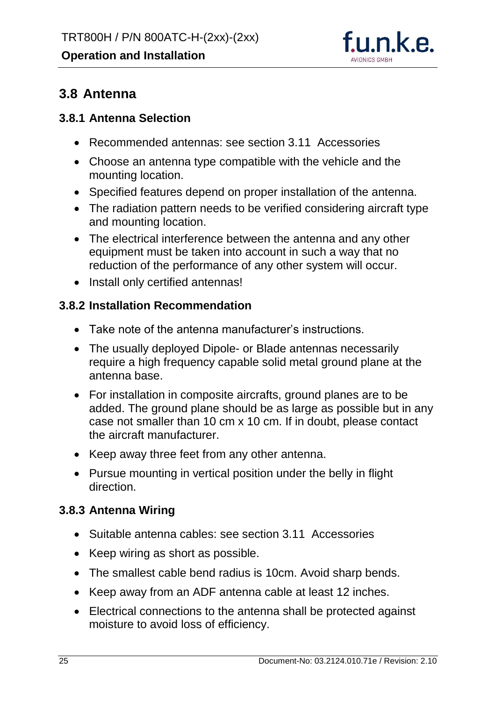

## <span id="page-25-0"></span>**3.8 Antenna**

#### <span id="page-25-1"></span>**3.8.1 Antenna Selection**

- Recommended antennas: see section [3.11](#page-27-2) [Accessories](#page-27-2)
- Choose an antenna type compatible with the vehicle and the mounting location.
- Specified features depend on proper installation of the antenna.
- The radiation pattern needs to be verified considering aircraft type and mounting location.
- The electrical interference between the antenna and any other equipment must be taken into account in such a way that no reduction of the performance of any other system will occur.
- Install only certified antennas!

#### <span id="page-25-2"></span>**3.8.2 Installation Recommendation**

- Take note of the antenna manufacturer's instructions.
- The usually deployed Dipole- or Blade antennas necessarily require a high frequency capable solid metal ground plane at the antenna base.
- For installation in composite aircrafts, ground planes are to be added. The ground plane should be as large as possible but in any case not smaller than 10 cm x 10 cm. If in doubt, please contact the aircraft manufacturer.
- Keep away three feet from any other antenna.
- Pursue mounting in vertical position under the belly in flight direction.

#### <span id="page-25-3"></span>**3.8.3 Antenna Wiring**

- Suitable antenna cables: see section [3.11](#page-27-2) [Accessories](#page-27-2)
- Keep wiring as short as possible.
- The smallest cable bend radius is 10cm. Avoid sharp bends.
- Keep away from an ADF antenna cable at least 12 inches.
- Electrical connections to the antenna shall be protected against moisture to avoid loss of efficiency.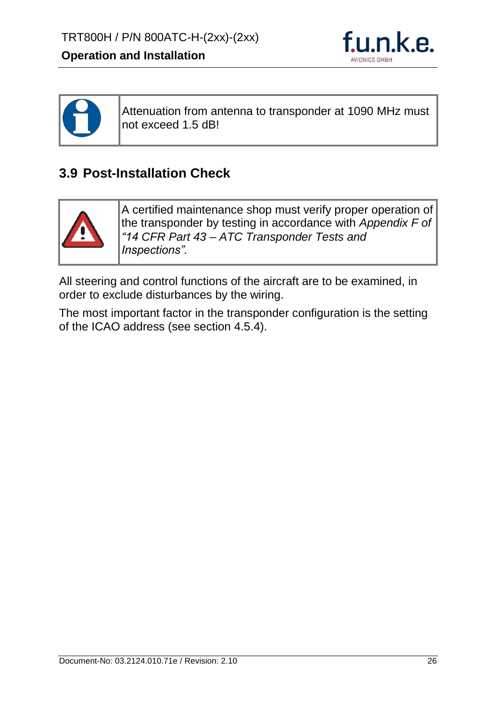



Attenuation from antenna to transponder at 1090 MHz must not exceed 1.5 dB!

# <span id="page-26-0"></span>**3.9 Post-Installation Check**



A certified maintenance shop must verify proper operation of the transponder by testing in accordance with *Appendix F of "14 CFR Part 43 – ATC Transponder Tests and Inspections".*

All steering and control functions of the aircraft are to be examined, in order to exclude disturbances by the wiring.

The most important factor in the transponder configuration is the setting of the ICAO address (see section [4.5.4\)](#page-37-2).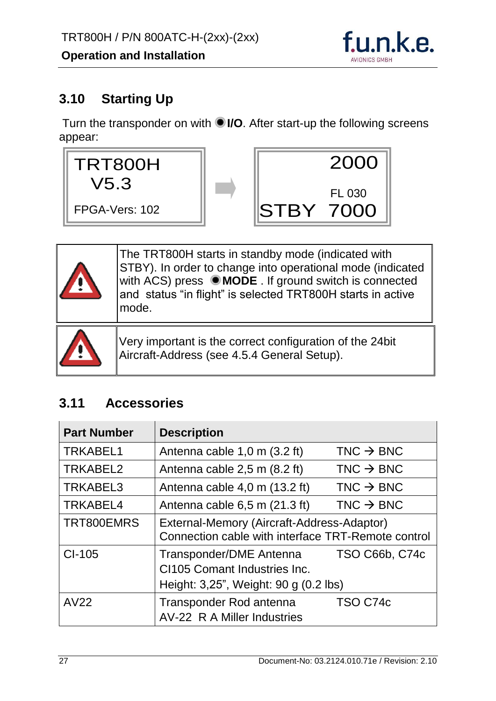

# <span id="page-27-0"></span>**3.10 Starting Up**

Turn the transponder on with **I/O**. After start-up the following screens appear:





The TRT800H starts in standby mode (indicated with STBY). In order to change into operational mode (indicated with ACS) press  $\bullet$  **MODE** . If ground switch is connected and status "in flight" is selected TRT800H starts in active mode.



Very important is the correct configuration of the 24bit Aircraft-Address (see [4.5.4](#page-37-2) [General Setup\)](#page-37-2).

# <span id="page-27-2"></span><span id="page-27-1"></span>**3.11 Accessories**

| <b>Part Number</b> | <b>Description</b>                                                                               |                       |
|--------------------|--------------------------------------------------------------------------------------------------|-----------------------|
| <b>TRKABEL1</b>    | Antenna cable 1,0 m (3.2 ft)                                                                     | $TNC \rightarrow BNC$ |
| TRKABEL2           | Antenna cable 2,5 m (8.2 ft)                                                                     | $TNC \rightarrow BNC$ |
| <b>TRKABEL3</b>    | Antenna cable 4,0 m (13.2 ft)                                                                    | $TNC \rightarrow BNC$ |
| TRKABEL4           | Antenna cable 6,5 m (21.3 ft)                                                                    | $TNC \rightarrow BNC$ |
| TRT800EMRS         | External-Memory (Aircraft-Address-Adaptor)<br>Connection cable with interface TRT-Remote control |                       |
| CI-105             | Transponder/DME Antenna<br>CI105 Comant Industries Inc.<br>Height: 3,25", Weight: 90 g (0.2 lbs) | <b>TSO C66b, C74c</b> |
| <b>AV22</b>        | Transponder Rod antenna<br>AV-22 R A Miller Industries                                           | TSO C74c              |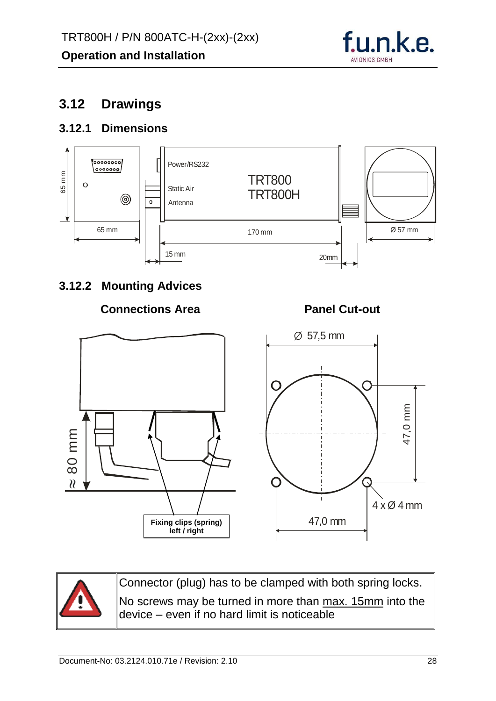

# <span id="page-28-0"></span>**3.12 Drawings**

#### <span id="page-28-1"></span>**3.12.1 Dimensions**



#### <span id="page-28-2"></span>**3.12.2 Mounting Advices**

#### **Connections Area**

**Panel Cut-out**





Connector (plug) has to be clamped with both spring locks. No screws may be turned in more than max. 15mm into the device – even if no hard limit is noticeable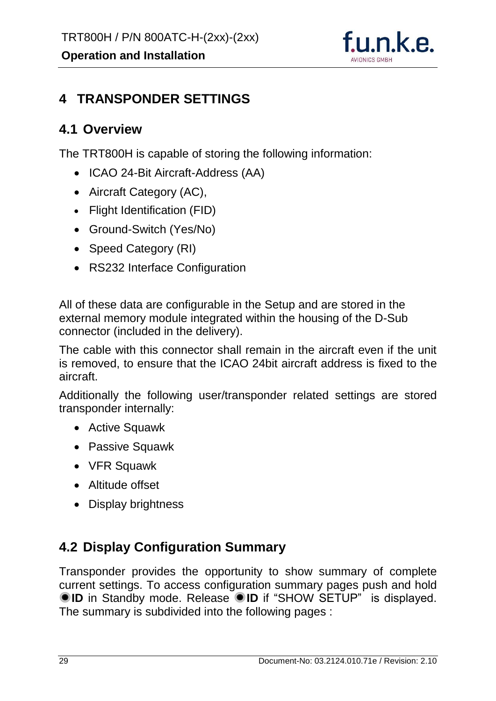

# <span id="page-29-0"></span>**4 TRANSPONDER SETTINGS**

#### <span id="page-29-1"></span>**4.1 Overview**

The TRT800H is capable of storing the following information:

- ICAO 24-Bit Aircraft-Address (AA)
- Aircraft Category (AC),
- Flight Identification (FID)
- Ground-Switch (Yes/No)
- Speed Category (RI)
- RS232 Interface Configuration

All of these data are configurable in the Setup and are stored in the external memory module integrated within the housing of the D-Sub connector (included in the delivery).

The cable with this connector shall remain in the aircraft even if the unit is removed, to ensure that the ICAO 24bit aircraft address is fixed to the aircraft.

Additionally the following user/transponder related settings are stored transponder internally:

- Active Squawk
- Passive Squawk
- VFR Squawk
- Altitude offset
- Display brightness

# <span id="page-29-2"></span>**4.2 Display Configuration Summary**

Transponder provides the opportunity to show summary of complete current settings. To access configuration summary pages push and hold **ID** in Standby mode. Release **ID** if "SHOW SETUP" is displayed. The summary is subdivided into the following pages :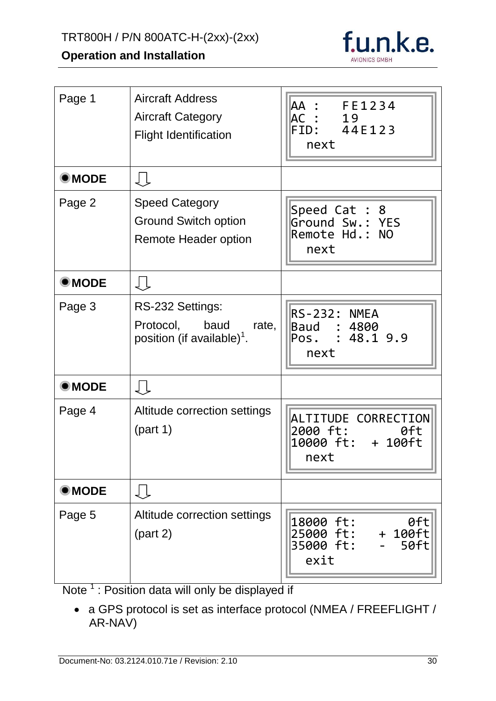# TRT800H / P/N 800ATC-H-(2xx)-(2xx)

# **Operation and Installation**



| Page 1         | <b>Aircraft Address</b><br><b>Aircraft Category</b><br><b>Flight Identification</b> | AA : FE1234<br>AC :<br>19<br>FID: 44E123<br>next                            |
|----------------|-------------------------------------------------------------------------------------|-----------------------------------------------------------------------------|
| <b>OMODE</b>   | ₹Ť                                                                                  |                                                                             |
| Page 2         | <b>Speed Category</b><br><b>Ground Switch option</b><br>Remote Header option        | Speed Cat : 8<br>Ground Sw.: YES<br>Remote Hd.: NO<br>next                  |
| $\bullet$ MODE | ₹Ť                                                                                  |                                                                             |
| Page 3         | RS-232 Settings:<br>Protocol, baud rate,<br>position (if available) <sup>1</sup> .  | RS-232: NMEA<br>Baud : 4800<br>Pos. : $48.1$ 9.9<br>next                    |
| <b>OMODE</b>   | ↓Ļ                                                                                  |                                                                             |
| Page 4         | Altitude correction settings<br>(part 1)                                            | ALTITUDE CORRECTION<br>2000 ft:<br>0ft<br>10000 ft: + 100ft<br>next         |
| <b>OMODE</b>   | Įļ                                                                                  |                                                                             |
| Page 5         | Altitude correction settings<br>(part 2)                                            | $0$ ft<br>18000 ft:<br>25000 ft:<br>$+ 100 ft$<br>35000 ft:<br>50ft<br>exit |

Note  $<sup>1</sup>$ : Position data will only be displayed if</sup>

 a GPS protocol is set as interface protocol (NMEA / FREEFLIGHT / AR-NAV)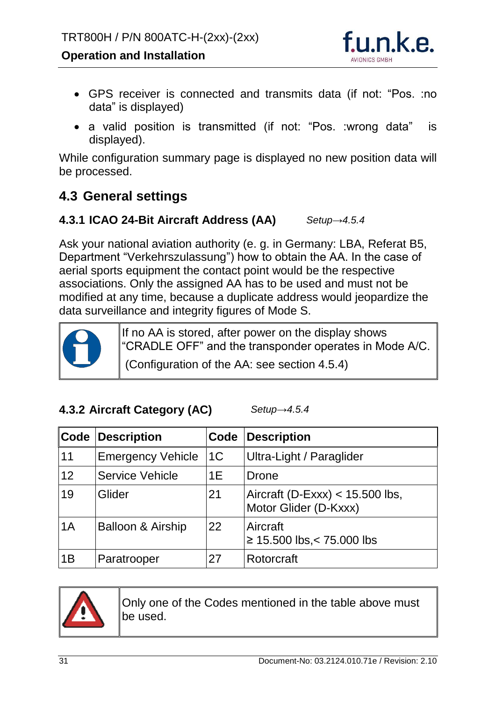

- GPS receiver is connected and transmits data (if not: "Pos. :no data" is displayed)
- a valid position is transmitted (if not: "Pos. :wrong data" is displayed).

While configuration summary page is displayed no new position data will be processed.

# <span id="page-31-0"></span>**4.3 General settings**

#### <span id="page-31-1"></span>**4.3.1 ICAO 24-Bit Aircraft Address (AA)** *Setup[→4.5.4](#page-37-2)*

Ask your national aviation authority (e. g. in Germany: LBA, Referat B5, Department "Verkehrszulassung") how to obtain the AA. In the case of aerial sports equipment the contact point would be the respective associations. Only the assigned AA has to be used and must not be modified at any time, because a duplicate address would jeopardize the data surveillance and integrity figures of Mode S.



If no AA is stored, after power on the display shows "CRADLE OFF" and the transponder operates in Mode A/C.

(Configuration of the AA: see section [4.5.4\)](#page-37-2)

#### <span id="page-31-2"></span>**4.3.2 Aircraft Category (AC)**

*Setup[→4.5.4](#page-37-2)*

|    | <b>Code Description</b>      | Code           | <b>Description</b>                                         |
|----|------------------------------|----------------|------------------------------------------------------------|
| 11 | <b>Emergency Vehicle</b>     | 1 <sup>C</sup> | Ultra-Light / Paraglider                                   |
| 12 | <b>Service Vehicle</b>       | 1E             | Drone                                                      |
| 19 | Glider                       | 21             | Aircraft (D-Exxx) $<$ 15.500 lbs,<br>Motor Glider (D-Kxxx) |
| 1A | <b>Balloon &amp; Airship</b> | 22             | Aircraft<br>$\geq$ 15.500 lbs, < 75.000 lbs                |
| 1B | Paratrooper                  | 27             | Rotorcraft                                                 |



Only one of the Codes mentioned in the table above must be used.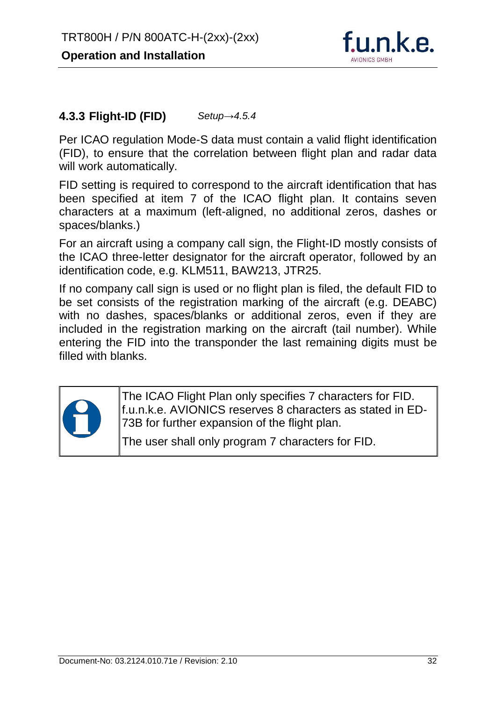

#### <span id="page-32-0"></span>**4.3.3 Flight-ID (FID)** *Setup[→4.5.4](#page-37-2)*

Per ICAO regulation Mode-S data must contain a valid flight identification (FID), to ensure that the correlation between flight plan and radar data will work automatically.

FID setting is required to correspond to the aircraft identification that has been specified at item 7 of the ICAO flight plan. It contains seven characters at a maximum (left-aligned, no additional zeros, dashes or spaces/blanks.)

For an aircraft using a company call sign, the Flight-ID mostly consists of the ICAO three-letter designator for the aircraft operator, followed by an identification code, e.g. KLM511, BAW213, JTR25.

If no company call sign is used or no flight plan is filed, the default FID to be set consists of the registration marking of the aircraft (e.g. DEABC) with no dashes, spaces/blanks or additional zeros, even if they are included in the registration marking on the aircraft (tail number). While entering the FID into the transponder the last remaining digits must be filled with blanks.



The ICAO Flight Plan only specifies 7 characters for FID. f.u.n.k.e. AVIONICS reserves 8 characters as stated in ED-73B for further expansion of the flight plan.

The user shall only program 7 characters for FID.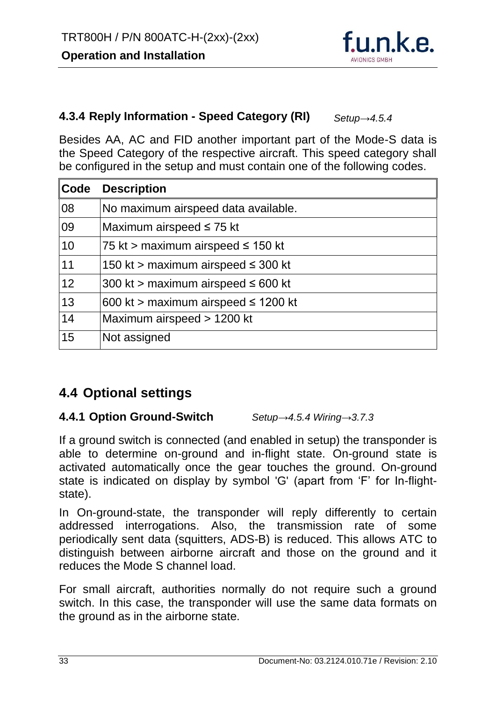

#### <span id="page-33-0"></span>**4.3.4 Reply Information - Speed Category (RI)** *Setup[→4.5.4](#page-37-2)*

Besides AA, AC and FID another important part of the Mode-S data is the Speed Category of the respective aircraft. This speed category shall be configured in the setup and must contain one of the following codes.

| ∥Code | <b>Description</b>                       |
|-------|------------------------------------------|
| 08    | No maximum airspeed data available.      |
| 09    | Maximum airspeed $\leq$ 75 kt            |
| 10    | 75 kt > maximum airspeed $\leq$ 150 kt   |
| 11    | 150 kt > maximum airspeed $\leq$ 300 kt  |
| 12    | 300 kt > maximum airspeed $\leq 600$ kt  |
| 13    | 600 kt > maximum airspeed $\leq$ 1200 kt |
| 14    | Maximum airspeed > 1200 kt               |
| 15    | Not assigned                             |

# <span id="page-33-1"></span>**4.4 Optional settings**

#### <span id="page-33-2"></span>**4.4.1 Option Ground-Switch** *Setup[→4.5.4](#page-37-2) Wiring[→3.7.3](#page-22-0)*

If a ground switch is connected (and enabled in setup) the transponder is

able to determine on-ground and in-flight state. On-ground state is activated automatically once the gear touches the ground. On-ground state is indicated on display by symbol 'G' (apart from 'F' for In-flightstate).

In On-ground-state, the transponder will reply differently to certain addressed interrogations. Also, the transmission rate of some periodically sent data (squitters, ADS-B) is reduced. This allows ATC to distinguish between airborne aircraft and those on the ground and it reduces the Mode S channel load.

For small aircraft, authorities normally do not require such a ground switch. In this case, the transponder will use the same data formats on the ground as in the airborne state.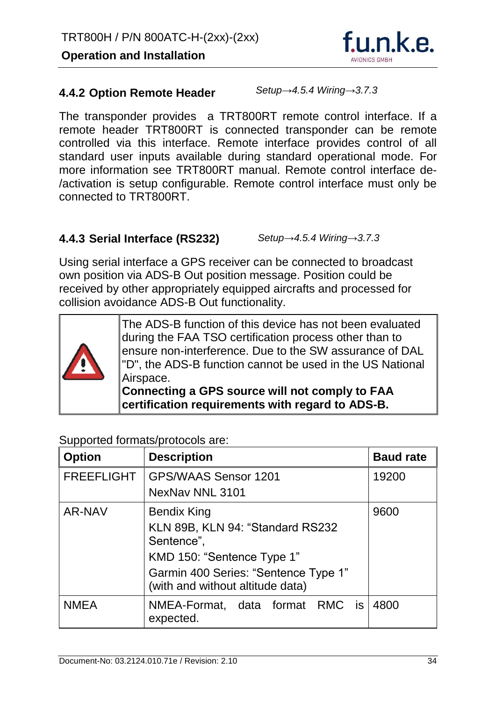

#### <span id="page-34-0"></span>**4.4.2 Option Remote Header**

*Setup[→4.5.4](#page-37-2) Wiring[→3.7.3](#page-22-0)*

The transponder provides a TRT800RT remote control interface. If a remote header TRT800RT is connected transponder can be remote controlled via this interface. Remote interface provides control of all standard user inputs available during standard operational mode. For more information see TRT800RT manual. Remote control interface de- /activation is setup configurable. Remote control interface must only be connected to TRT800RT.

#### <span id="page-34-1"></span>**4.4.3 Serial Interface (RS232)**

*Setup[→4.5.4](#page-37-2) Wiring[→3.7.3](#page-22-0)*

Using serial interface a GPS receiver can be connected to broadcast own position via ADS-B Out position message. Position could be received by other appropriately equipped aircrafts and processed for collision avoidance ADS-B Out functionality.



The ADS-B function of this device has not been evaluated during the FAA TSO certification process other than to ensure non-interference. Due to the SW assurance of DAL "D", the ADS-B function cannot be used in the US National Airspace.

**Connecting a GPS source will not comply to FAA certification requirements with regard to ADS-B.**

| <b>Option</b>     | <b>Description</b>                                                       | <b>Baud rate</b> |
|-------------------|--------------------------------------------------------------------------|------------------|
| <b>FREEFLIGHT</b> | <b>GPS/WAAS Sensor 1201</b>                                              | 19200            |
|                   | NexNav NNL 3101                                                          |                  |
| <b>AR-NAV</b>     | <b>Bendix King</b>                                                       | 9600             |
|                   | KLN 89B, KLN 94: "Standard RS232                                         |                  |
|                   | Sentence",                                                               |                  |
|                   | KMD 150: "Sentence Type 1"                                               |                  |
|                   | Garmin 400 Series: "Sentence Type 1"<br>(with and without altitude data) |                  |
| <b>NMEA</b>       | NMEA-Format, data format RMC is<br>expected.                             | 4800             |

Supported formats/protocols are: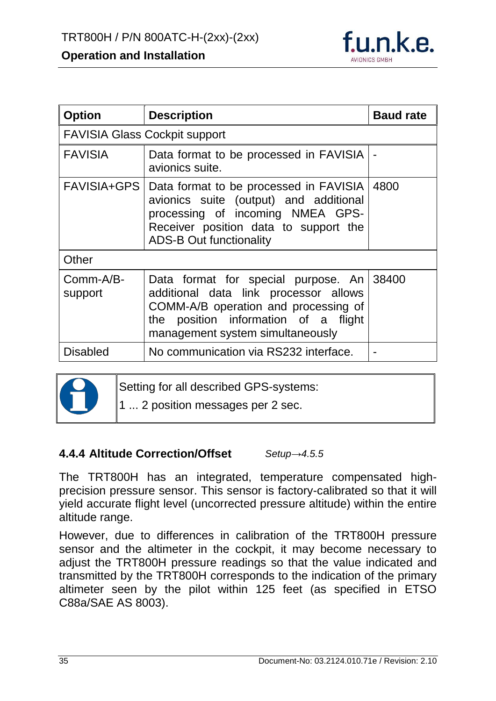

| <b>Option</b>        | <b>Description</b>                                                                                                                                                                                     | <b>Baud rate</b> |  |
|----------------------|--------------------------------------------------------------------------------------------------------------------------------------------------------------------------------------------------------|------------------|--|
|                      | <b>FAVISIA Glass Cockpit support</b>                                                                                                                                                                   |                  |  |
| <b>FAVISIA</b>       | Data format to be processed in FAVISIA   -<br>avionics suite.                                                                                                                                          |                  |  |
| <b>FAVISIA+GPS</b>   | Data format to be processed in FAVISIA<br>avionics suite (output) and additional<br>processing of incoming NMEA GPS-<br>Receiver position data to support the<br><b>ADS-B Out functionality</b>        | 4800             |  |
| Other                |                                                                                                                                                                                                        |                  |  |
| Comm-A/B-<br>support | Data format for special purpose. An<br>additional data link processor allows<br>COMM-A/B operation and processing of<br>position information of a<br>the<br>flight<br>management system simultaneously | 38400            |  |
| <b>Disabled</b>      | No communication via RS232 interface.                                                                                                                                                                  |                  |  |



Setting for all described GPS-systems:

1 ... 2 position messages per 2 sec.

#### <span id="page-35-0"></span>**4.4.4 Altitude Correction/Offset** *Setup[→4.5.5](#page-41-0)*

The TRT800H has an integrated, temperature compensated highprecision pressure sensor. This sensor is factory-calibrated so that it will yield accurate flight level (uncorrected pressure altitude) within the entire altitude range.

However, due to differences in calibration of the TRT800H pressure sensor and the altimeter in the cockpit, it may become necessary to adjust the TRT800H pressure readings so that the value indicated and transmitted by the TRT800H corresponds to the indication of the primary altimeter seen by the pilot within 125 feet (as specified in ETSO C88a/SAE AS 8003).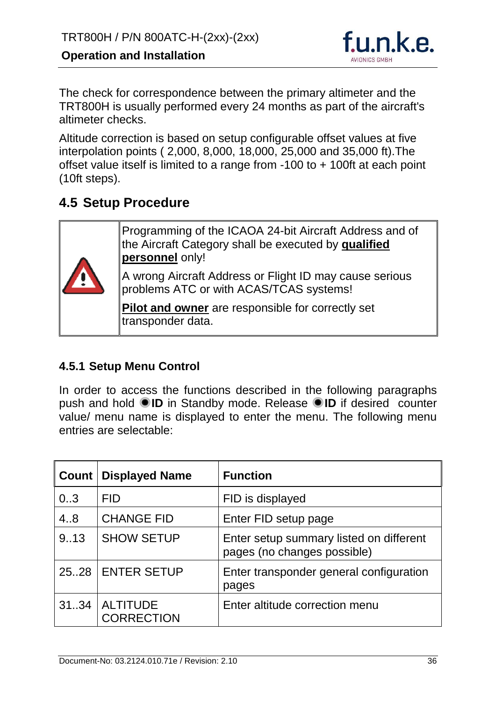

The check for correspondence between the primary altimeter and the TRT800H is usually performed every 24 months as part of the aircraft's altimeter checks.

Altitude correction is based on setup configurable offset values at five interpolation points ( 2,000, 8,000, 18,000, 25,000 and 35,000 ft).The offset value itself is limited to a range from -100 to + 100ft at each point (10ft steps).

# <span id="page-36-0"></span>**4.5 Setup Procedure**

Programming of the ICAOA 24-bit Aircraft Address and of the Aircraft Category shall be executed by **qualified personnel** only! A wrong Aircraft Address or Flight ID may cause serious problems ATC or with ACAS/TCAS systems! **Pilot and owner** are responsible for correctly set transponder data.

#### <span id="page-36-1"></span>**4.5.1 Setup Menu Control**

In order to access the functions described in the following paragraphs push and hold **ID** in Standby mode. Release **ID** if desired counter value/ menu name is displayed to enter the menu. The following menu entries are selectable:

| <b>Count</b> | <b>Displayed Name</b>                | <b>Function</b>                                                        |
|--------------|--------------------------------------|------------------------------------------------------------------------|
| 0.3          | <b>FID</b>                           | FID is displayed                                                       |
| 4.8          | <b>CHANGE FID</b>                    | Enter FID setup page                                                   |
| 9.13         | <b>SHOW SETUP</b>                    | Enter setup summary listed on different<br>pages (no changes possible) |
| 25.28        | <b>ENTER SETUP</b>                   | Enter transponder general configuration<br>pages                       |
| 3134         | <b>ALTITUDE</b><br><b>CORRECTION</b> | Enter altitude correction menu                                         |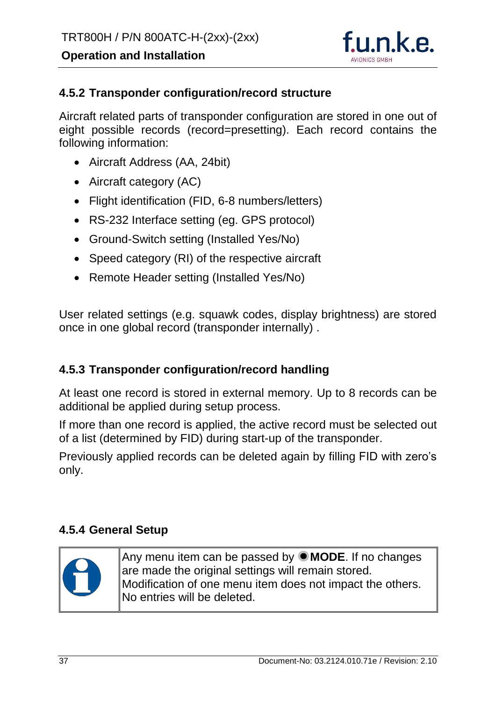

#### <span id="page-37-0"></span>**4.5.2 Transponder configuration/record structure**

Aircraft related parts of transponder configuration are stored in one out of eight possible records (record=presetting). Each record contains the following information:

- Aircraft Address (AA, 24bit)
- Aircraft category (AC)
- Flight identification (FID, 6-8 numbers/letters)
- RS-232 Interface setting (eg. GPS protocol)
- Ground-Switch setting (Installed Yes/No)
- Speed category (RI) of the respective aircraft
- Remote Header setting (Installed Yes/No)

User related settings (e.g. squawk codes, display brightness) are stored once in one global record (transponder internally) .

#### <span id="page-37-1"></span>**4.5.3 Transponder configuration/record handling**

At least one record is stored in external memory. Up to 8 records can be additional be applied during setup process.

If more than one record is applied, the active record must be selected out of a list (determined by FID) during start-up of the transponder.

Previously applied records can be deleted again by filling FID with zero's only.

#### <span id="page-37-2"></span>**4.5.4 General Setup**



Any menu item can be passed by **MODE**. If no changes are made the original settings will remain stored. Modification of one menu item does not impact the others. No entries will be deleted.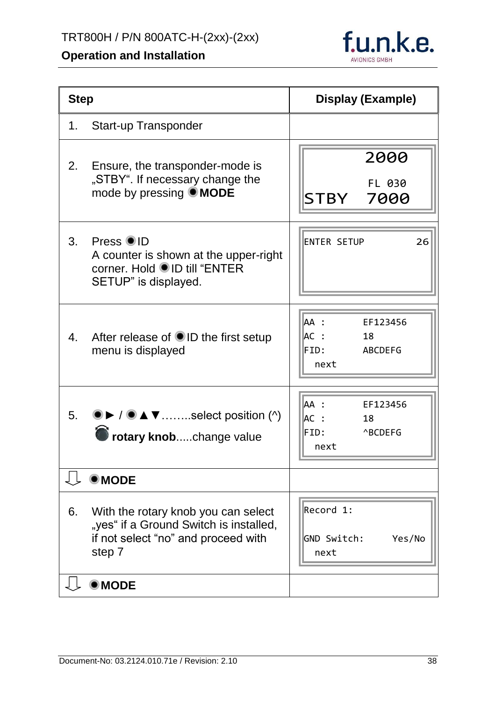

| <b>Step</b> |                                                                                                                                | <b>Display (Example)</b>                                         |
|-------------|--------------------------------------------------------------------------------------------------------------------------------|------------------------------------------------------------------|
| 1.          | Start-up Transponder                                                                                                           |                                                                  |
| 2.          | Ensure, the transponder-mode is<br>"STBY". If necessary change the<br>mode by pressing <b>MODE</b>                             | 2000<br>FL 030<br>STBY 7000                                      |
| 3.          | Press OID<br>A counter is shown at the upper-right<br>corner. Hold ●ID till "ENTER<br>SETUP" is displayed.                     | 26<br><b>ENTER SETUP</b>                                         |
|             | 4. After release of ID the first setup<br>menu is displayed                                                                    | AA :<br>EF123456<br>AC :<br>18<br><b>ABCDEFG</b><br>FID:<br>next |
|             | 5. $\bullet$ / $\bullet$ $\blacktriangle$ $\blacktriangledown$ select position (^)<br>rotary knobchange value                  | AA :<br>EF123456<br>AC:<br>18<br>FID:<br><b>ABCDEFG</b><br>next  |
|             | $\bullet$ MODE                                                                                                                 |                                                                  |
| 6.          | With the rotary knob you can select<br>"yes" if a Ground Switch is installed,<br>if not select "no" and proceed with<br>step 7 | Record 1:<br>GND Switch:<br>Yes/No<br>next                       |
|             | <b>MODE</b>                                                                                                                    |                                                                  |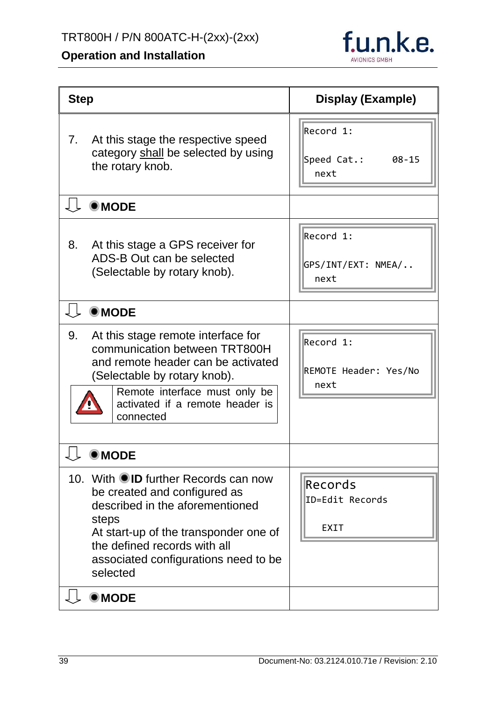

<span id="page-39-0"></span>

| <b>Step</b>                                                                                                                                                                                                                                   | Display (Example)                             |
|-----------------------------------------------------------------------------------------------------------------------------------------------------------------------------------------------------------------------------------------------|-----------------------------------------------|
| At this stage the respective speed<br>7.<br>category shall be selected by using<br>the rotary knob.                                                                                                                                           | Record 1:<br>Speed Cat.:<br>$08 - 15$<br>next |
| $\bullet$ MODE                                                                                                                                                                                                                                |                                               |
| At this stage a GPS receiver for<br>8.<br>ADS-B Out can be selected<br>(Selectable by rotary knob).                                                                                                                                           | Record 1:<br>GPS/INT/EXT: NMEA/<br>next       |
| $\bullet$ MODE                                                                                                                                                                                                                                |                                               |
| At this stage remote interface for<br>9.<br>communication between TRT800H<br>and remote header can be activated<br>(Selectable by rotary knob).<br>Remote interface must only be<br>activated if a remote header is<br>connected              | Record 1:<br>REMOTE Header: Yes/No<br>next    |
| <b>MODE</b>                                                                                                                                                                                                                                   |                                               |
| 10. With OID further Records can now<br>be created and configured as<br>described in the aforementioned<br>steps<br>At start-up of the transponder one of<br>the defined records with all<br>associated configurations need to be<br>selected | Records<br>ID=Edit Records<br><b>EXIT</b>     |
| $@$ MODE                                                                                                                                                                                                                                      |                                               |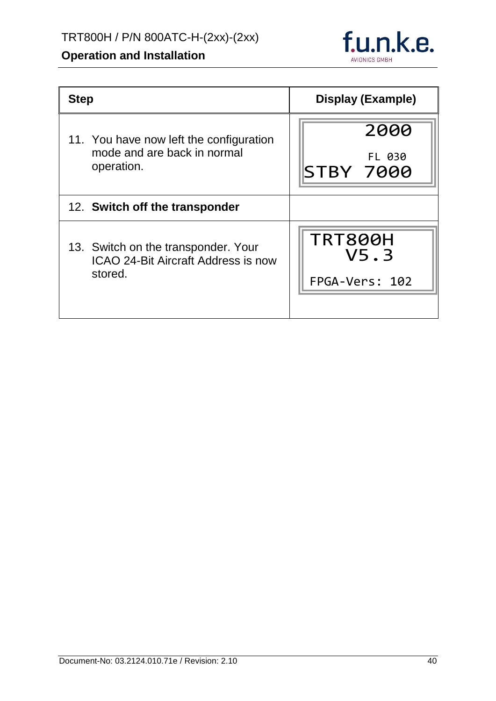# f.u.n.k.e. AVIONICS GMBH

| <b>Step</b>                                | <b>Display (Example)</b> |
|--------------------------------------------|--------------------------|
| 11. You have now left the configuration    | 2000                     |
| mode and are back in normal                | FL 030                   |
| operation.                                 | <b>STBY 7000</b>         |
| 12. Switch off the transponder             |                          |
| 13. Switch on the transponder. Your        | <b>TRT800H</b>           |
| <b>ICAO 24-Bit Aircraft Address is now</b> | V5.3                     |
| stored.                                    | FPGA-Vers: 102           |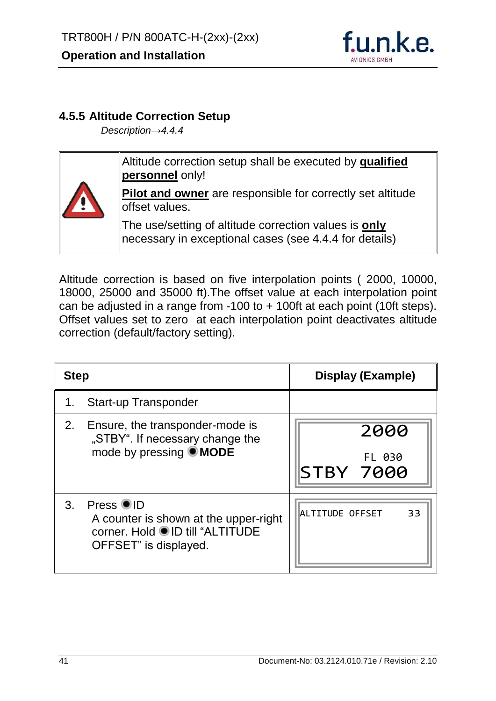

#### <span id="page-41-0"></span>**4.5.5 Altitude Correction Setup**

*Description[→4.4.4](#page-35-0)*



Altitude correction setup shall be executed by **qualified personnel** only!

**Pilot and owner** are responsible for correctly set altitude offset values.

The use/setting of altitude correction values is **only** necessary in exceptional cases (see [4.4.4](#page-35-0) for details)

Altitude correction is based on five interpolation points ( 2000, 10000, 18000, 25000 and 35000 ft).The offset value at each interpolation point can be adjusted in a range from -100 to + 100ft at each point (10ft steps). Offset values set to zero at each interpolation point deactivates altitude correction (default/factory setting).

| <b>Step</b>    |                                                                                                                | Display (Example)                  |
|----------------|----------------------------------------------------------------------------------------------------------------|------------------------------------|
|                | <b>Start-up Transponder</b>                                                                                    |                                    |
| 2.             | Ensure, the transponder-mode is<br>"STBY". If necessary change the<br>mode by pressing <b>MODE</b>             | 2000<br>FL 030<br><b>STBY 7000</b> |
| 3 <sub>1</sub> | Press OID<br>A counter is shown at the upper-right<br>corner. Hold ●ID till "ALTITUDE<br>OFFSET" is displayed. | ALTITUDE OFFSET<br>33              |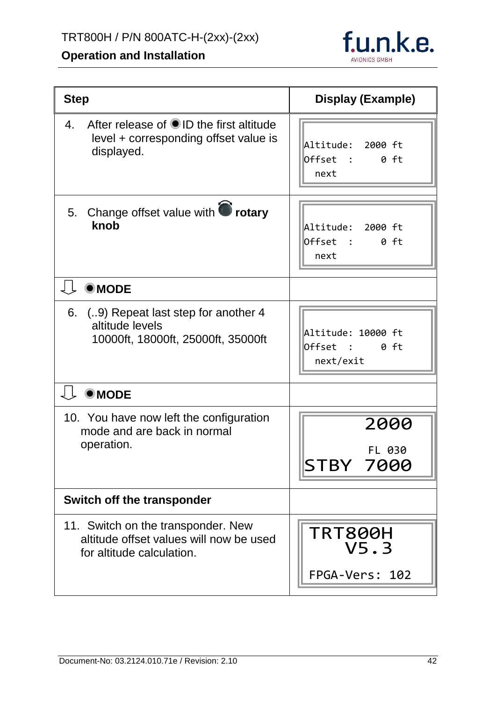

| <b>Step</b>                                                                                                | Display (Example)                                   |
|------------------------------------------------------------------------------------------------------------|-----------------------------------------------------|
| After release of OID the first altitude<br>4.<br>level + corresponding offset value is<br>displayed.       | Altitude: 2000 ft<br>Offset :<br>$0$ ft<br>next     |
| 5. Change offset value with <b>O</b> rotary<br>knob                                                        | Altitude: 2000 ft<br>Offset :<br>0 ft<br>next       |
| $@$ MODE                                                                                                   |                                                     |
| (9) Repeat last step for another 4<br>6.<br>altitude levels<br>10000ft, 18000ft, 25000ft, 35000ft          | Altitude: 10000 ft<br>Offset :<br>0 ft<br>next/exit |
| $\bullet$ MODE                                                                                             |                                                     |
| 10. You have now left the configuration<br>mode and are back in normal<br>operation.                       | 2000<br>FL 030<br>STBY 7000                         |
| <b>Switch off the transponder</b>                                                                          |                                                     |
| 11. Switch on the transponder. New<br>altitude offset values will now be used<br>for altitude calculation. | <b>TRT800H</b><br>V5.3<br>FPGA-Vers: 102            |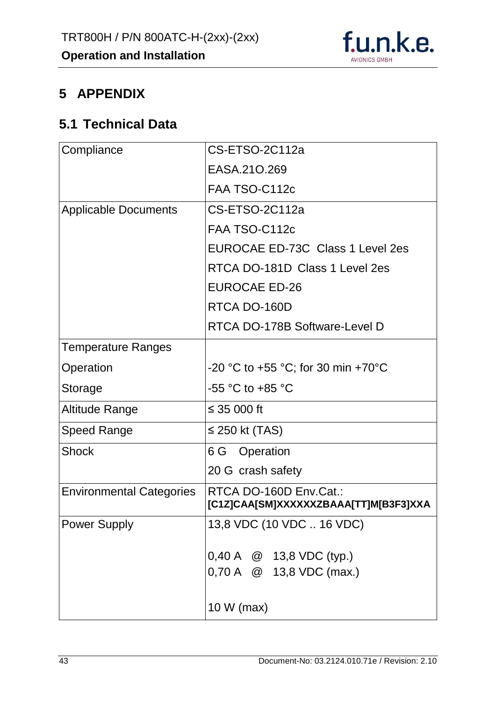

# <span id="page-43-0"></span>**5 APPENDIX**

# <span id="page-43-1"></span>**5.1 Technical Data**

| Compliance                      | CS-ETSO-2C112a                                                  |  |  |
|---------------------------------|-----------------------------------------------------------------|--|--|
|                                 | EASA.210.269                                                    |  |  |
|                                 | FAA TSO-C112c                                                   |  |  |
| <b>Applicable Documents</b>     | CS-ETSO-2C112a                                                  |  |  |
|                                 | FAA TSO-C112c                                                   |  |  |
|                                 | EUROCAE ED-73C Class 1 Level 2es                                |  |  |
|                                 | RTCA DO-181D Class 1 Level 2es                                  |  |  |
|                                 | <b>EUROCAE ED-26</b>                                            |  |  |
|                                 | RTCA DO-160D                                                    |  |  |
|                                 | RTCA DO-178B Software-Level D                                   |  |  |
| <b>Temperature Ranges</b>       |                                                                 |  |  |
| Operation                       | -20 °C to +55 °C; for 30 min +70°C                              |  |  |
| Storage                         | $-55$ °C to $+85$ °C                                            |  |  |
| Altitude Range                  | ≤ 35 000 ft                                                     |  |  |
| Speed Range                     | $\leq$ 250 kt (TAS)                                             |  |  |
| <b>Shock</b>                    | 6 G Operation                                                   |  |  |
|                                 | 20 G crash safety                                               |  |  |
| <b>Environmental Categories</b> | RTCA DO-160D Env.Cat.:<br>[C1Z]CAA[SM]XXXXXXZBAAA[TT]M[B3F3]XXA |  |  |
| <b>Power Supply</b>             | 13,8 VDC (10 VDC  16 VDC)                                       |  |  |
|                                 | $0,40 \text{ A} \quad @ 13,8 \text{ VDC (typ.)}$                |  |  |
|                                 |                                                                 |  |  |
|                                 | 0,70 A @ 13,8 VDC (max.)                                        |  |  |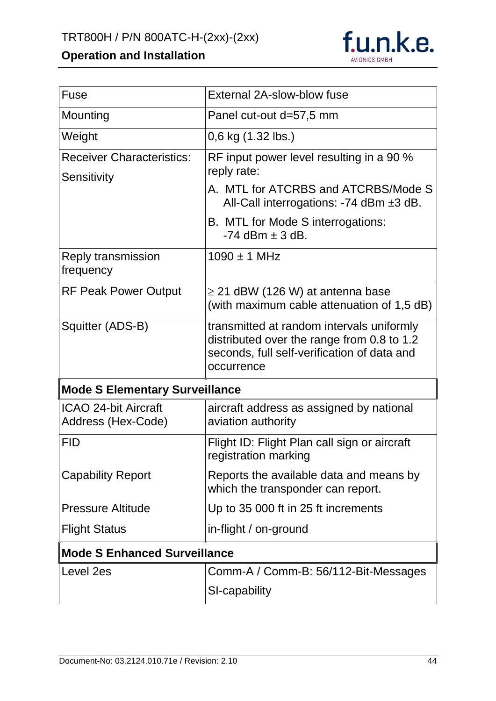

| Fuse                                              | External 2A-slow-blow fuse                                                                                                                                                                                   |  |
|---------------------------------------------------|--------------------------------------------------------------------------------------------------------------------------------------------------------------------------------------------------------------|--|
| Mounting                                          | Panel cut-out d=57,5 mm                                                                                                                                                                                      |  |
| Weight                                            | 0,6 kg (1.32 lbs.)                                                                                                                                                                                           |  |
| <b>Receiver Characteristics:</b><br>Sensitivity   | RF input power level resulting in a 90 %<br>reply rate:<br>A. MTL for ATCRBS and ATCRBS/Mode S<br>All-Call interrogations: -74 dBm $\pm 3$ dB.<br>B. MTL for Mode S interrogations:<br>$-74$ dBm $\pm$ 3 dB. |  |
| Reply transmission<br>frequency                   | $1090 \pm 1$ MHz                                                                                                                                                                                             |  |
| <b>RF Peak Power Output</b>                       | $\geq$ 21 dBW (126 W) at antenna base<br>(with maximum cable attenuation of 1,5 dB)                                                                                                                          |  |
| Squitter (ADS-B)                                  | transmitted at random intervals uniformly<br>distributed over the range from 0.8 to 1.2<br>seconds, full self-verification of data and<br>occurrence                                                         |  |
| <b>Mode S Elementary Surveillance</b>             |                                                                                                                                                                                                              |  |
| <b>ICAO 24-bit Aircraft</b><br>Address (Hex-Code) | aircraft address as assigned by national<br>aviation authority                                                                                                                                               |  |
| <b>FID</b>                                        | Flight ID: Flight Plan call sign or aircraft<br>registration marking                                                                                                                                         |  |
| <b>Capability Report</b>                          | Reports the available data and means by<br>which the transponder can report.                                                                                                                                 |  |
| <b>Pressure Altitude</b>                          | Up to 35 000 ft in 25 ft increments                                                                                                                                                                          |  |
| <b>Flight Status</b>                              | in-flight / on-ground                                                                                                                                                                                        |  |
| <b>Mode S Enhanced Surveillance</b>               |                                                                                                                                                                                                              |  |
| Level 2es                                         | Comm-A / Comm-B: 56/112-Bit-Messages<br>SI-capability                                                                                                                                                        |  |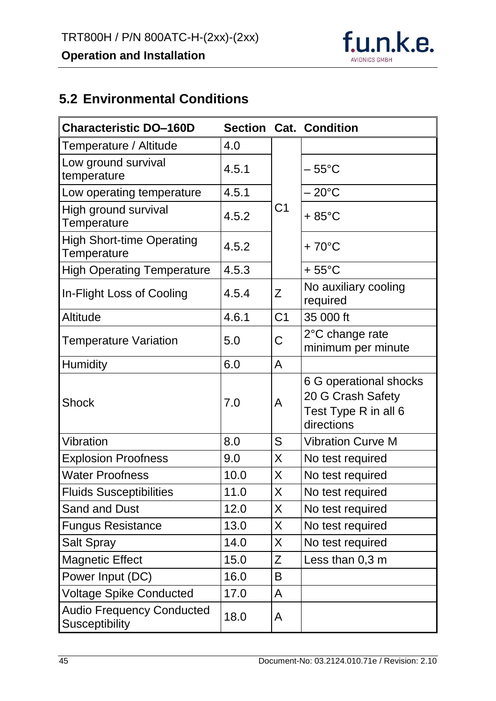

# <span id="page-45-0"></span>**5.2 Environmental Conditions**

| <b>Characteristic DO-160D</b>                             |       |                | <b>Section Cat. Condition</b>                                                     |
|-----------------------------------------------------------|-------|----------------|-----------------------------------------------------------------------------------|
| Temperature / Altitude                                    | 4.0   |                |                                                                                   |
| Low ground survival<br>temperature                        | 4.5.1 |                | – 55°C                                                                            |
| Low operating temperature                                 | 4.5.1 |                | $-20^{\circ}$ C                                                                   |
| High ground survival<br>Temperature                       | 4.5.2 | C <sub>1</sub> | $+85^{\circ}$ C                                                                   |
| <b>High Short-time Operating</b><br>Temperature           | 4.5.2 |                | $+70^{\circ}$ C                                                                   |
| <b>High Operating Temperature</b>                         | 4.5.3 |                | $+55^{\circ}$ C                                                                   |
| In-Flight Loss of Cooling                                 | 4.5.4 | Z              | No auxiliary cooling<br>required                                                  |
| Altitude                                                  | 4.6.1 | C <sub>1</sub> | 35 000 ft                                                                         |
| <b>Temperature Variation</b>                              | 5.0   | C              | 2°C change rate<br>minimum per minute                                             |
| <b>Humidity</b>                                           | 6.0   | A              |                                                                                   |
| <b>Shock</b>                                              | 7.0   | A              | 6 G operational shocks<br>20 G Crash Safety<br>Test Type R in all 6<br>directions |
| Vibration                                                 | 8.0   | S              | <b>Vibration Curve M</b>                                                          |
| <b>Explosion Proofness</b>                                | 9.0   | X              | No test required                                                                  |
| <b>Water Proofness</b>                                    | 10.0  | X              | No test required                                                                  |
| <b>Fluids Susceptibilities</b>                            | 11.0  | X              | No test required                                                                  |
| Sand and Dust                                             | 12.0  | X              | No test required                                                                  |
| <b>Fungus Resistance</b>                                  | 13.0  | X              | No test required                                                                  |
| <b>Salt Spray</b>                                         | 14.0  | X              | No test required                                                                  |
| <b>Magnetic Effect</b>                                    | 15.0  | Z              | Less than 0,3 m                                                                   |
| Power Input (DC)                                          | 16.0  | B              |                                                                                   |
| <b>Voltage Spike Conducted</b>                            | 17.0  | A              |                                                                                   |
| <b>Audio Frequency Conducted</b><br><b>Susceptibility</b> | 18.0  | A              |                                                                                   |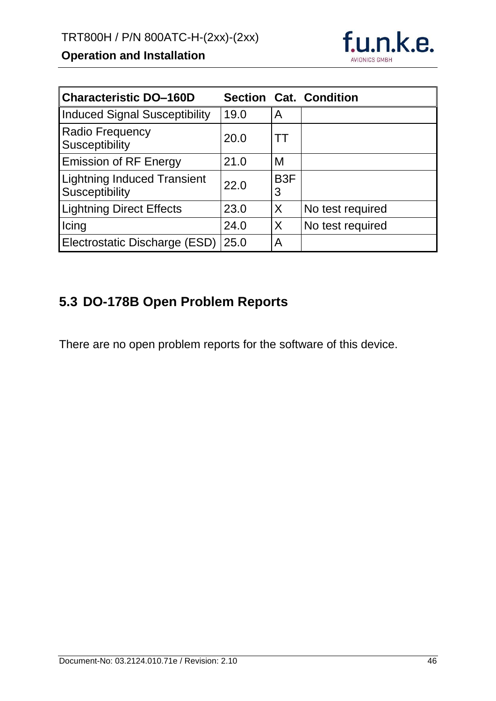

| <b>Characteristic DO-160D</b>                        |      |                       | <b>Section Cat. Condition</b> |
|------------------------------------------------------|------|-----------------------|-------------------------------|
| <b>Induced Signal Susceptibility</b>                 | 19.0 | A                     |                               |
| <b>Radio Frequency</b><br>Susceptibility             | 20.0 |                       |                               |
| <b>Emission of RF Energy</b>                         | 21.0 | M                     |                               |
| <b>Lightning Induced Transient</b><br>Susceptibility | 22.0 | B <sub>3</sub> F<br>3 |                               |
| <b>Lightning Direct Effects</b>                      | 23.0 | X                     | No test required              |
| Icing                                                | 24.0 | X                     | No test required              |
| Electrostatic Discharge (ESD)                        | 25.0 | A                     |                               |

# <span id="page-46-0"></span>**5.3 DO-178B Open Problem Reports**

There are no open problem reports for the software of this device.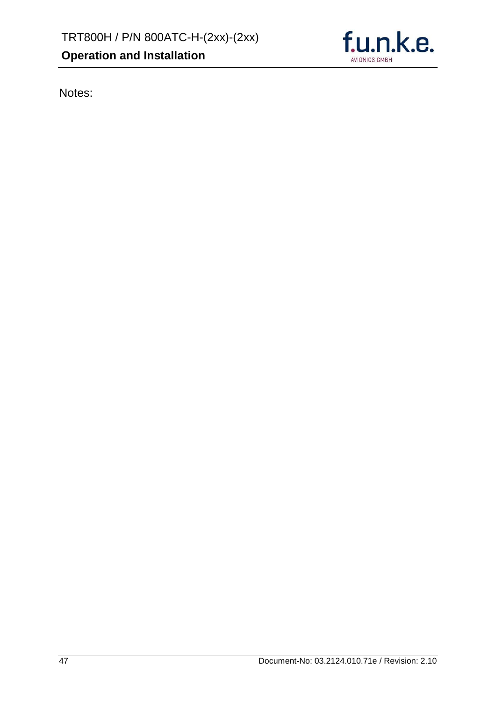

Notes: